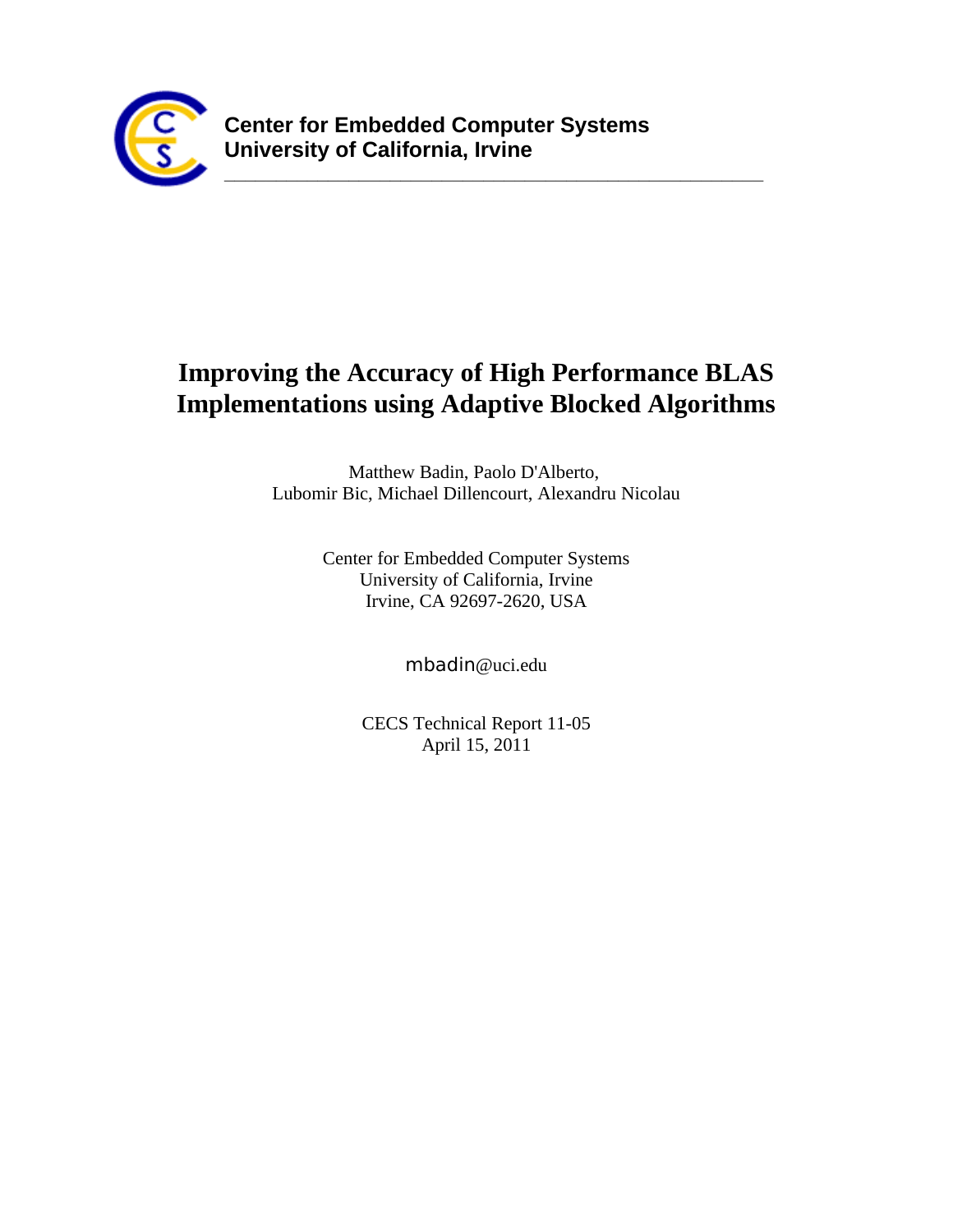

## Improving the Accuracy of High Performance BLAS **Implementations using Adaptive Blocked Algorithms**

<u> 2008 - 2008 - 2008 - 2008 - 2008 - 2008 - 2008 - 2008 - 2008 - 2008 - 2008 - 2008 - 2008 - 2008 - 2008 - 200</u>

Matthew Badin, Paolo D'Alberto, Lubomir Bic, Michael Dillencourt, Alexandru Nicolau

> Center for Embedded Computer Systems University of California, Irvine Irvine, CA 92697-2620, USA

> > mbadin@uci.edu

**CECS Technical Report 11-05** April 15, 2011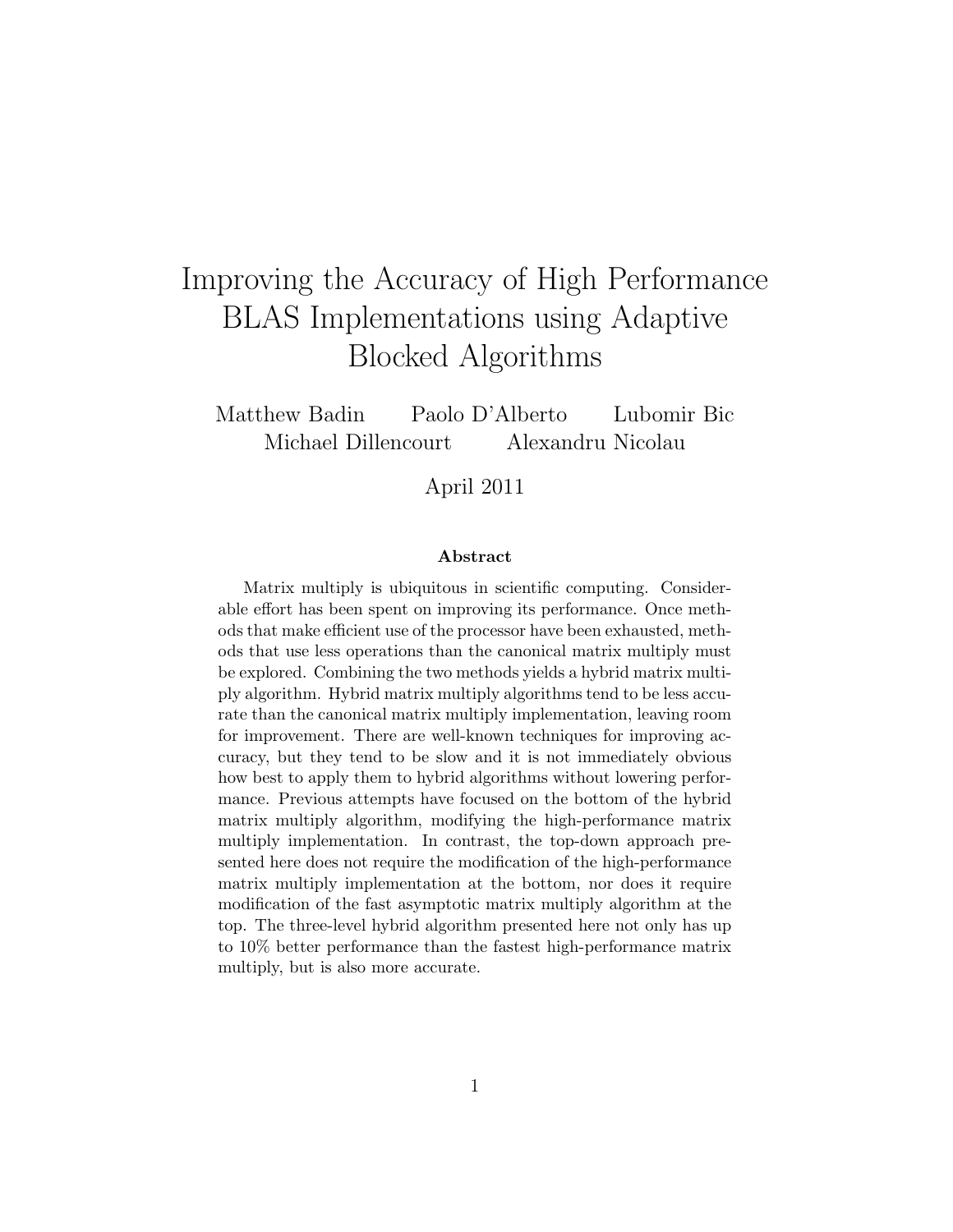# Improving the Accuracy of High Performance BLAS Implementations using Adaptive Blocked Algorithms

Matthew Badin Paolo D'Alberto Lubomir Bic Michael Dillencourt Alexandru Nicolau

April 2011

#### Abstract

Matrix multiply is ubiquitous in scientific computing. Considerable effort has been spent on improving its performance. Once methods that make efficient use of the processor have been exhausted, methods that use less operations than the canonical matrix multiply must be explored. Combining the two methods yields a hybrid matrix multiply algorithm. Hybrid matrix multiply algorithms tend to be less accurate than the canonical matrix multiply implementation, leaving room for improvement. There are well-known techniques for improving accuracy, but they tend to be slow and it is not immediately obvious how best to apply them to hybrid algorithms without lowering performance. Previous attempts have focused on the bottom of the hybrid matrix multiply algorithm, modifying the high-performance matrix multiply implementation. In contrast, the top-down approach presented here does not require the modification of the high-performance matrix multiply implementation at the bottom, nor does it require modification of the fast asymptotic matrix multiply algorithm at the top. The three-level hybrid algorithm presented here not only has up to 10% better performance than the fastest high-performance matrix multiply, but is also more accurate.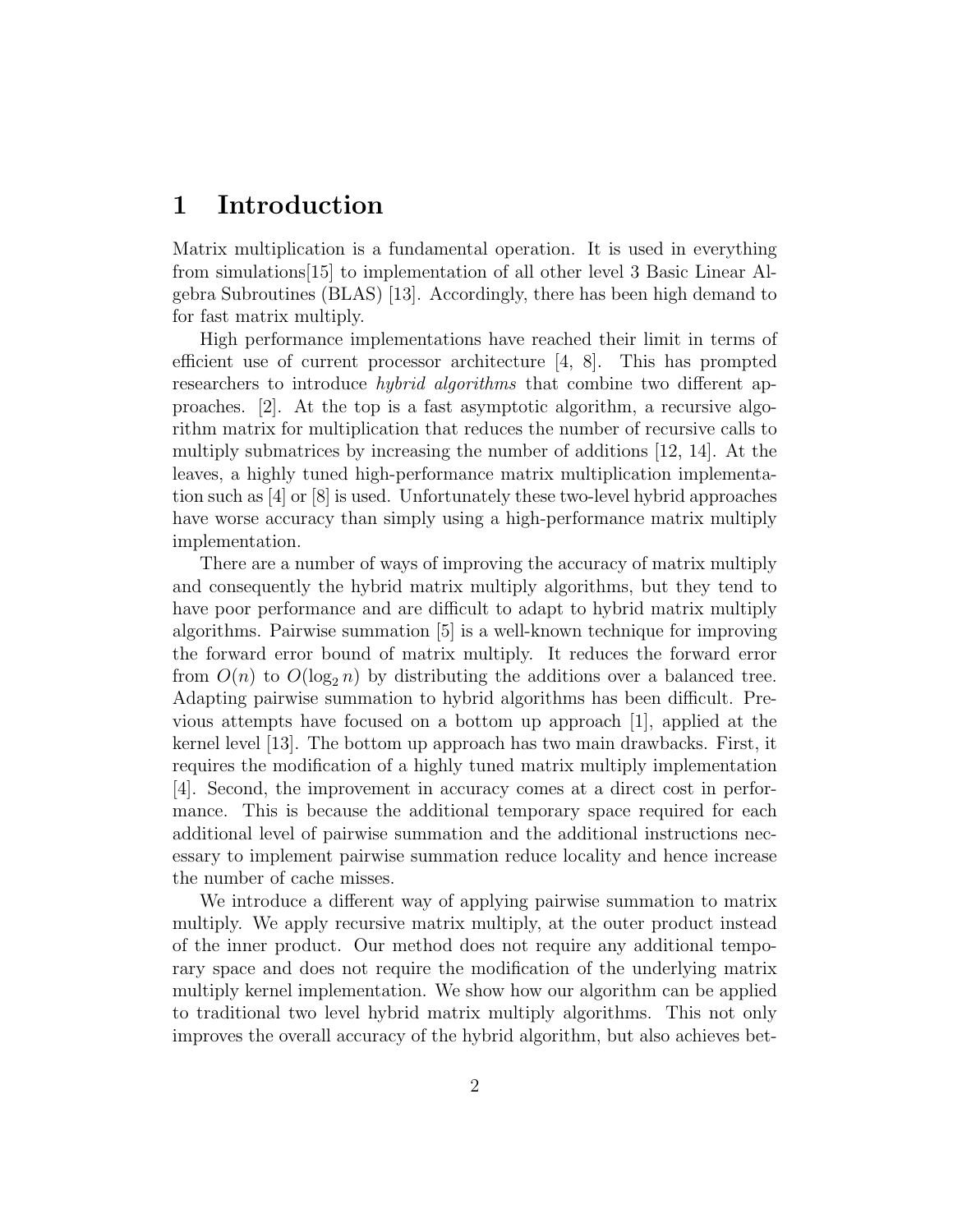### 1 Introduction

Matrix multiplication is a fundamental operation. It is used in everything from simulations[15] to implementation of all other level 3 Basic Linear Algebra Subroutines (BLAS) [13]. Accordingly, there has been high demand to for fast matrix multiply.

High performance implementations have reached their limit in terms of efficient use of current processor architecture [4, 8]. This has prompted researchers to introduce *hybrid algorithms* that combine two different approaches. [2]. At the top is a fast asymptotic algorithm, a recursive algorithm matrix for multiplication that reduces the number of recursive calls to multiply submatrices by increasing the number of additions [12, 14]. At the leaves, a highly tuned high-performance matrix multiplication implementation such as [4] or [8] is used. Unfortunately these two-level hybrid approaches have worse accuracy than simply using a high-performance matrix multiply implementation.

There are a number of ways of improving the accuracy of matrix multiply and consequently the hybrid matrix multiply algorithms, but they tend to have poor performance and are difficult to adapt to hybrid matrix multiply algorithms. Pairwise summation [5] is a well-known technique for improving the forward error bound of matrix multiply. It reduces the forward error from  $O(n)$  to  $O(\log_2 n)$  by distributing the additions over a balanced tree. Adapting pairwise summation to hybrid algorithms has been difficult. Previous attempts have focused on a bottom up approach [1], applied at the kernel level [13]. The bottom up approach has two main drawbacks. First, it requires the modification of a highly tuned matrix multiply implementation [4]. Second, the improvement in accuracy comes at a direct cost in performance. This is because the additional temporary space required for each additional level of pairwise summation and the additional instructions necessary to implement pairwise summation reduce locality and hence increase the number of cache misses.

We introduce a different way of applying pairwise summation to matrix multiply. We apply recursive matrix multiply, at the outer product instead of the inner product. Our method does not require any additional temporary space and does not require the modification of the underlying matrix multiply kernel implementation. We show how our algorithm can be applied to traditional two level hybrid matrix multiply algorithms. This not only improves the overall accuracy of the hybrid algorithm, but also achieves bet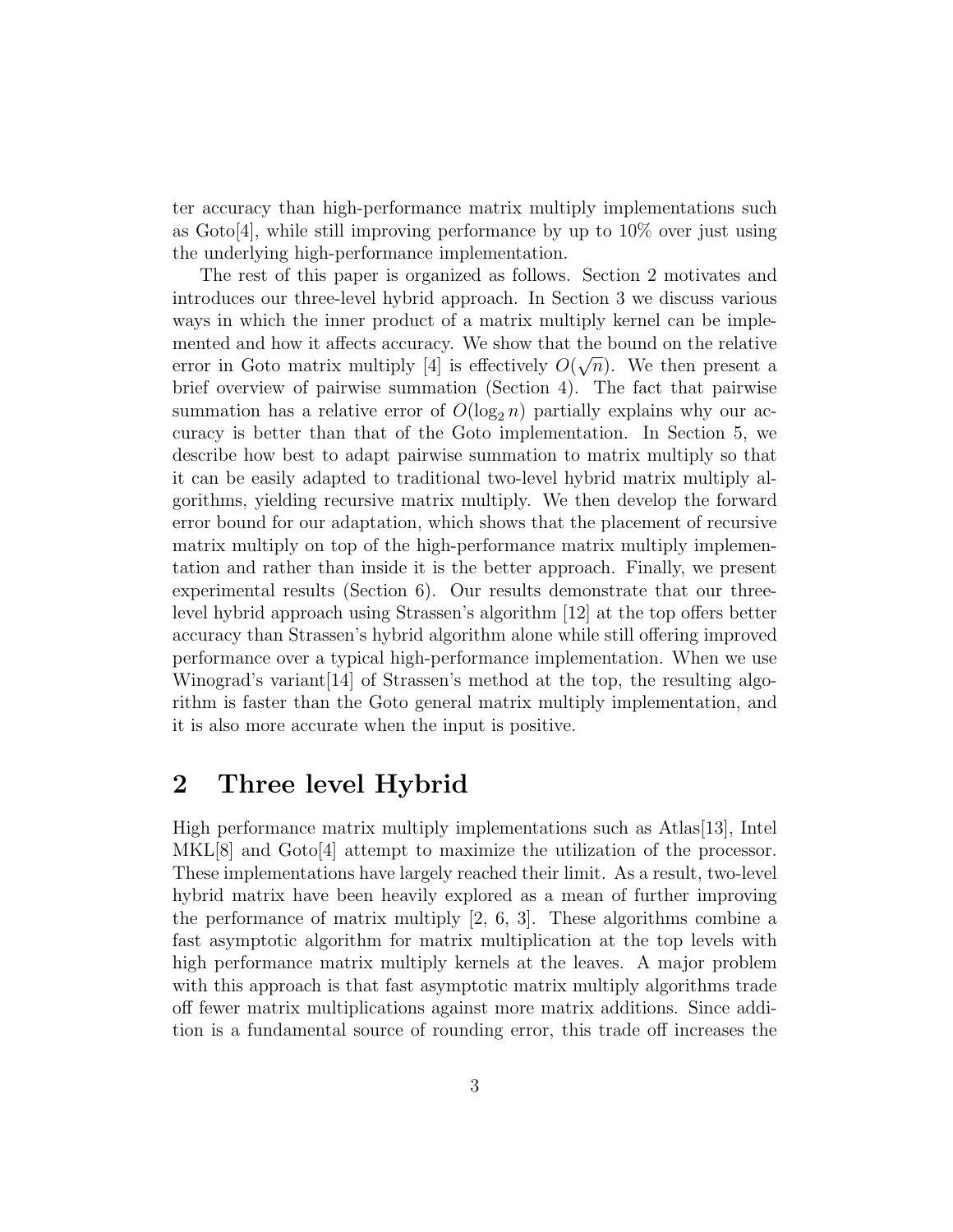ter accuracy than high-performance matrix multiply implementations such as  $\text{Goto}[4]$ , while still improving performance by up to  $10\%$  over just using the underlying high-performance implementation.

The rest of this paper is organized as follows. Section 2 motivates and introduces our three-level hybrid approach. In Section 3 we discuss various ways in which the inner product of a matrix multiply kernel can be implemented and how it affects accuracy. We show that the bound on the relative error in Goto matrix multiply [4] is effectively  $O(\sqrt{n})$ . We then present a brief overview of pairwise summation (Section 4). The fact that pairwise summation has a relative error of  $O(\log_2 n)$  partially explains why our accuracy is better than that of the Goto implementation. In Section 5, we describe how best to adapt pairwise summation to matrix multiply so that it can be easily adapted to traditional two-level hybrid matrix multiply algorithms, yielding recursive matrix multiply. We then develop the forward error bound for our adaptation, which shows that the placement of recursive matrix multiply on top of the high-performance matrix multiply implementation and rather than inside it is the better approach. Finally, we present experimental results (Section 6). Our results demonstrate that our threelevel hybrid approach using Strassen's algorithm [12] at the top offers better accuracy than Strassen's hybrid algorithm alone while still offering improved performance over a typical high-performance implementation. When we use Winograd's variant[14] of Strassen's method at the top, the resulting algorithm is faster than the Goto general matrix multiply implementation, and it is also more accurate when the input is positive.

### 2 Three level Hybrid

High performance matrix multiply implementations such as Atlas[13], Intel MKL[8] and Goto[4] attempt to maximize the utilization of the processor. These implementations have largely reached their limit. As a result, two-level hybrid matrix have been heavily explored as a mean of further improving the performance of matrix multiply  $[2, 6, 3]$ . These algorithms combine a fast asymptotic algorithm for matrix multiplication at the top levels with high performance matrix multiply kernels at the leaves. A major problem with this approach is that fast asymptotic matrix multiply algorithms trade off fewer matrix multiplications against more matrix additions. Since addition is a fundamental source of rounding error, this trade off increases the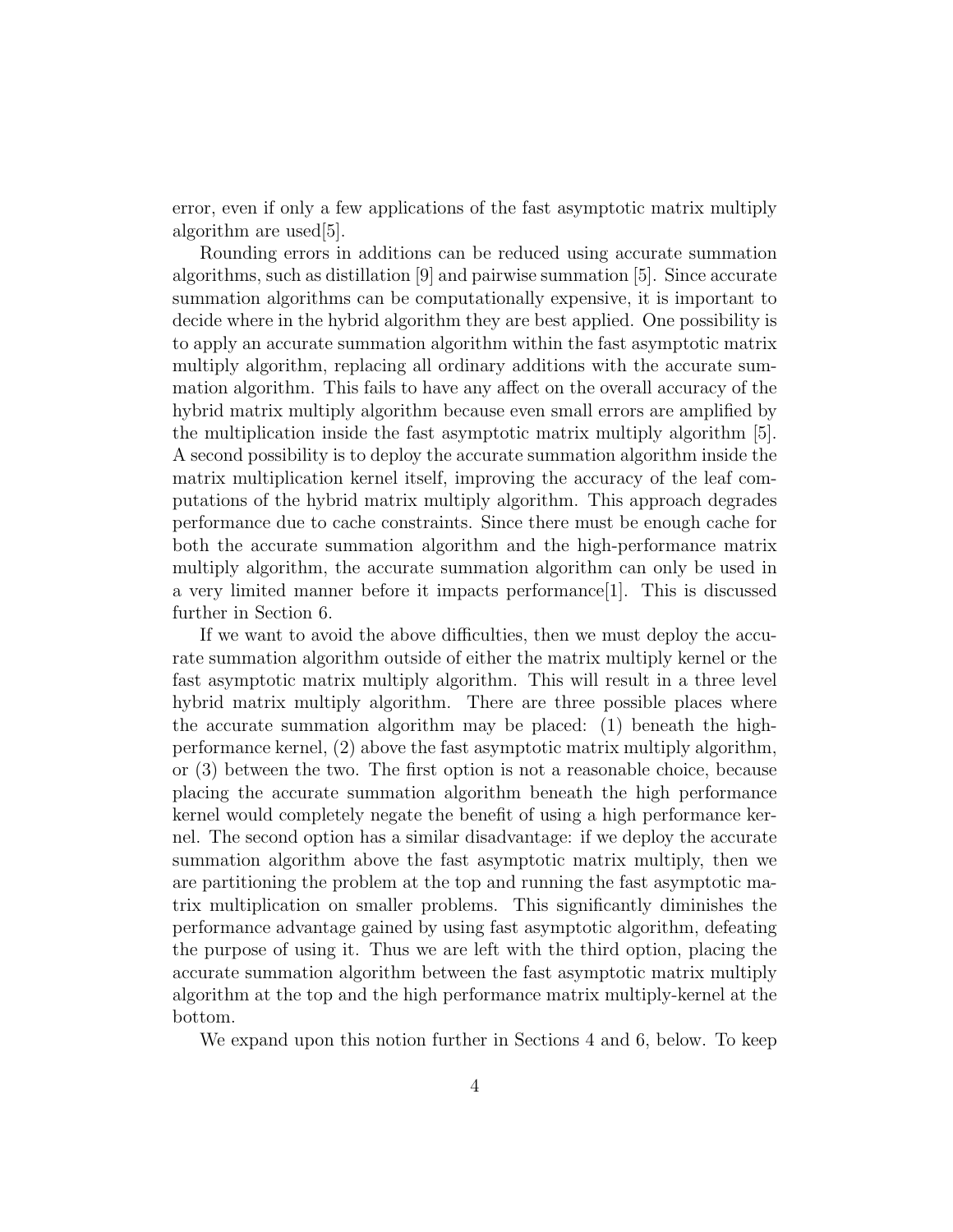error, even if only a few applications of the fast asymptotic matrix multiply algorithm are used[5].

Rounding errors in additions can be reduced using accurate summation algorithms, such as distillation [9] and pairwise summation [5]. Since accurate summation algorithms can be computationally expensive, it is important to decide where in the hybrid algorithm they are best applied. One possibility is to apply an accurate summation algorithm within the fast asymptotic matrix multiply algorithm, replacing all ordinary additions with the accurate summation algorithm. This fails to have any affect on the overall accuracy of the hybrid matrix multiply algorithm because even small errors are amplified by the multiplication inside the fast asymptotic matrix multiply algorithm [5]. A second possibility is to deploy the accurate summation algorithm inside the matrix multiplication kernel itself, improving the accuracy of the leaf computations of the hybrid matrix multiply algorithm. This approach degrades performance due to cache constraints. Since there must be enough cache for both the accurate summation algorithm and the high-performance matrix multiply algorithm, the accurate summation algorithm can only be used in a very limited manner before it impacts performance  $[1]$ . This is discussed further in Section 6.

If we want to avoid the above difficulties, then we must deploy the accurate summation algorithm outside of either the matrix multiply kernel or the fast asymptotic matrix multiply algorithm. This will result in a three level hybrid matrix multiply algorithm. There are three possible places where the accurate summation algorithm may be placed: (1) beneath the highperformance kernel, (2) above the fast asymptotic matrix multiply algorithm, or (3) between the two. The first option is not a reasonable choice, because placing the accurate summation algorithm beneath the high performance kernel would completely negate the benefit of using a high performance kernel. The second option has a similar disadvantage: if we deploy the accurate summation algorithm above the fast asymptotic matrix multiply, then we are partitioning the problem at the top and running the fast asymptotic matrix multiplication on smaller problems. This significantly diminishes the performance advantage gained by using fast asymptotic algorithm, defeating the purpose of using it. Thus we are left with the third option, placing the accurate summation algorithm between the fast asymptotic matrix multiply algorithm at the top and the high performance matrix multiply-kernel at the bottom.

We expand upon this notion further in Sections 4 and 6, below. To keep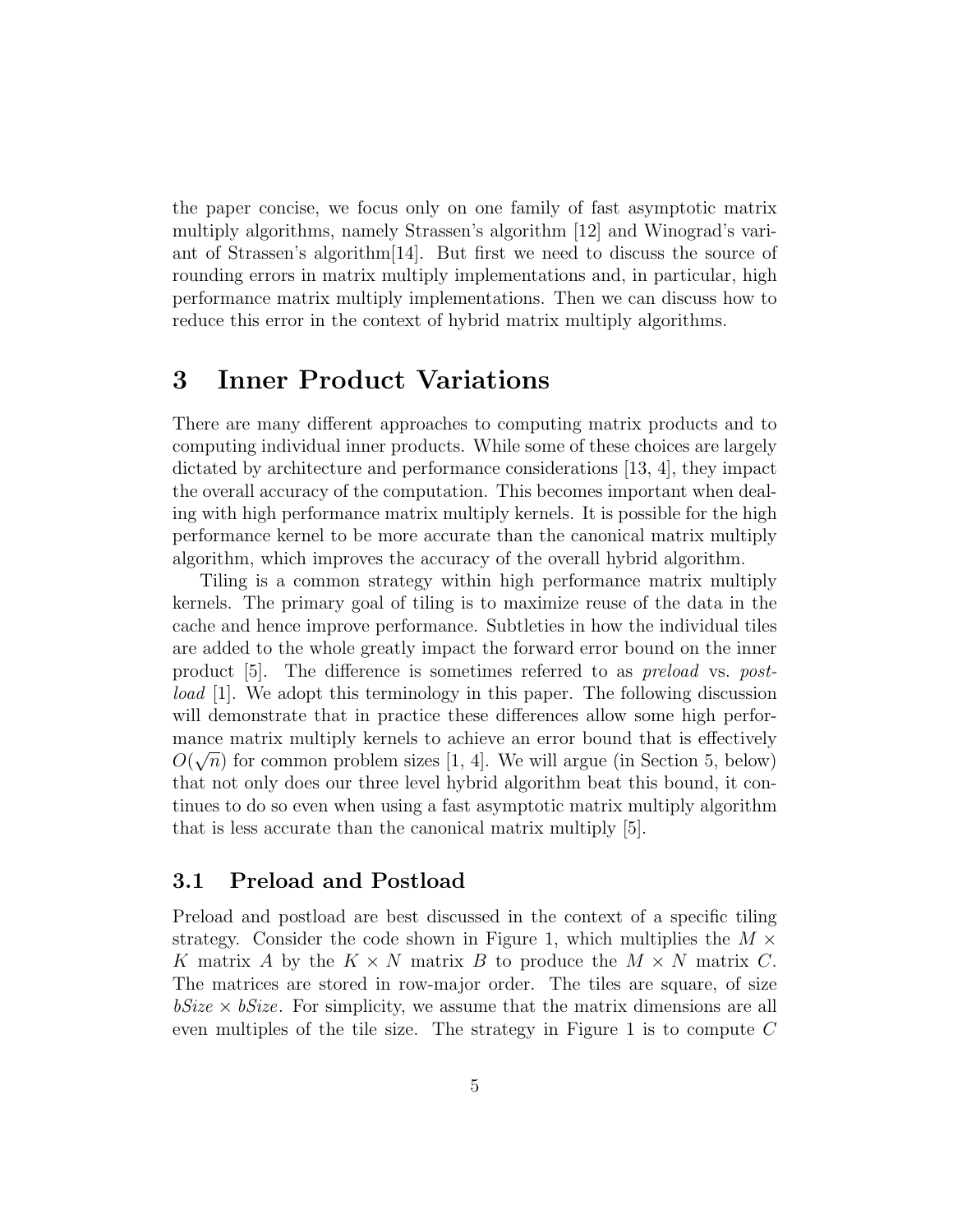the paper concise, we focus only on one family of fast asymptotic matrix multiply algorithms, namely Strassen's algorithm [12] and Winograd's variant of Strassen's algorithm  $|14|$ . But first we need to discuss the source of rounding errors in matrix multiply implementations and, in particular, high performance matrix multiply implementations. Then we can discuss how to reduce this error in the context of hybrid matrix multiply algorithms.

### 3 Inner Product Variations

There are many different approaches to computing matrix products and to computing individual inner products. While some of these choices are largely dictated by architecture and performance considerations [13, 4], they impact the overall accuracy of the computation. This becomes important when dealing with high performance matrix multiply kernels. It is possible for the high performance kernel to be more accurate than the canonical matrix multiply algorithm, which improves the accuracy of the overall hybrid algorithm.

Tiling is a common strategy within high performance matrix multiply kernels. The primary goal of tiling is to maximize reuse of the data in the cache and hence improve performance. Subtleties in how the individual tiles are added to the whole greatly impact the forward error bound on the inner product [5]. The difference is sometimes referred to as preload vs. postload [1]. We adopt this terminology in this paper. The following discussion will demonstrate that in practice these differences allow some high performance matrix multiply kernels to achieve an error bound that is effectively  $O(\sqrt{n})$  for common problem sizes [1, 4]. We will argue (in Section 5, below) that not only does our three level hybrid algorithm beat this bound, it continues to do so even when using a fast asymptotic matrix multiply algorithm that is less accurate than the canonical matrix multiply [5].

#### 3.1 Preload and Postload

Preload and postload are best discussed in the context of a specific tiling strategy. Consider the code shown in Figure 1, which multiplies the  $M \times$ K matrix A by the  $K \times N$  matrix B to produce the  $M \times N$  matrix C. The matrices are stored in row-major order. The tiles are square, of size  $bSize \times bSize$ . For simplicity, we assume that the matrix dimensions are all even multiples of the tile size. The strategy in Figure 1 is to compute  $C$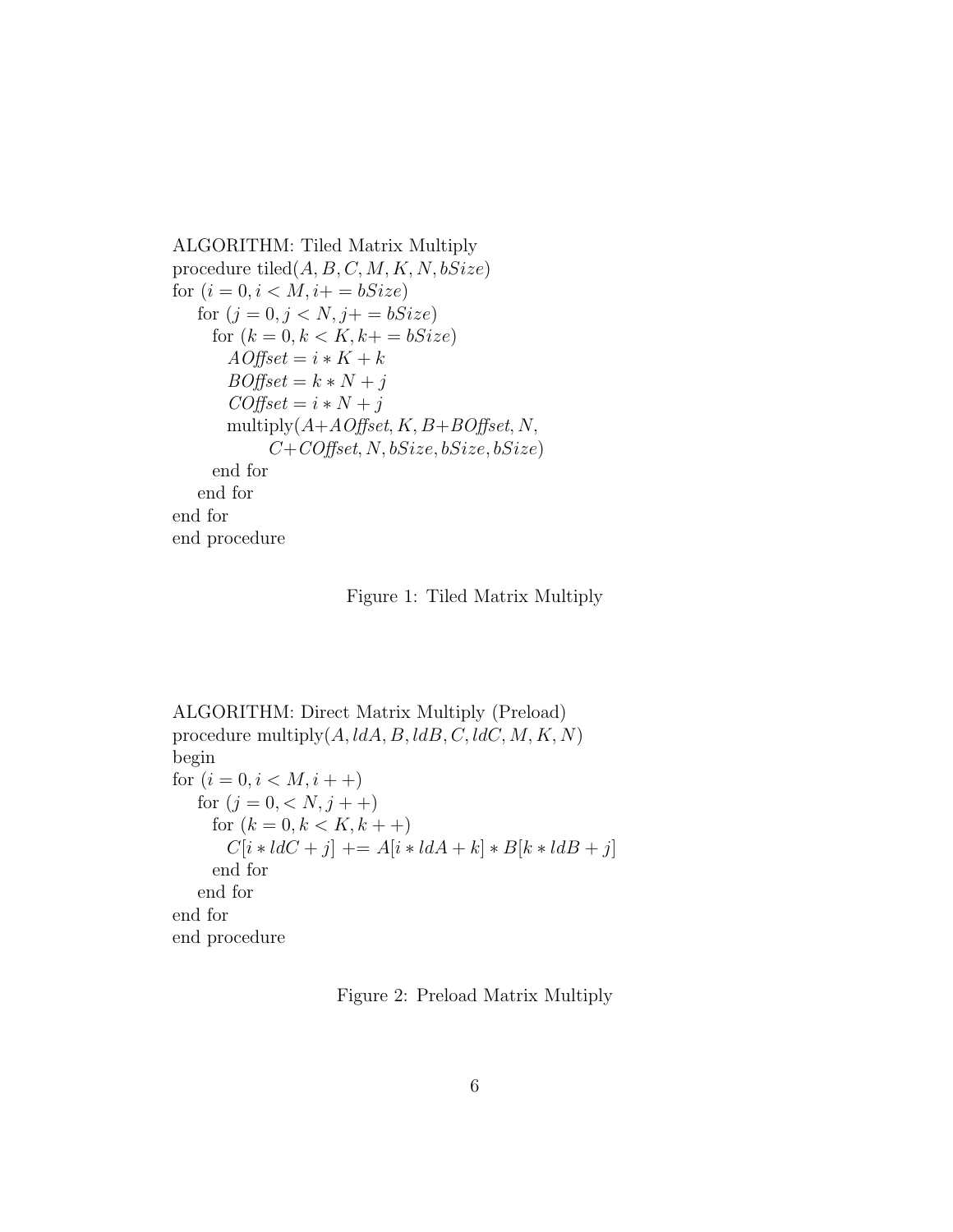ALGORITHM: Tiled Matrix Multiply procedure tiled $(A, B, C, M, K, N, bSize)$ for  $(i = 0, i < M, i + 1, i \leq b$ for  $(j = 0, j < N, j + 1$ for  $(k = 0, k < K, k + 1$  $A \textit{Office} t = i * K + k$  $BOffset = k * N + j$  $COffset = i*N+j$ multiply $(A+A\textit{Offset}, K, B+B\textit{Offset}, N,$  $C+CO$ ffset, N, bSize, bSize, bSize) end for end for end for end procedure



ALGORITHM: Direct Matrix Multiply (Preload) procedure multiply $(A, dA, B, dB, C, dC, M, K, N)$ begin for  $(i = 0, i < M, i++)$ for  $(j = 0, \langle N, j + + \rangle)$ for  $(k = 0, k < K, k + +)$  $C[i * ldC + j] += A[i * ldA + k] * B[k * ldB + j]$ end for end for end for end procedure

Figure 2: Preload Matrix Multiply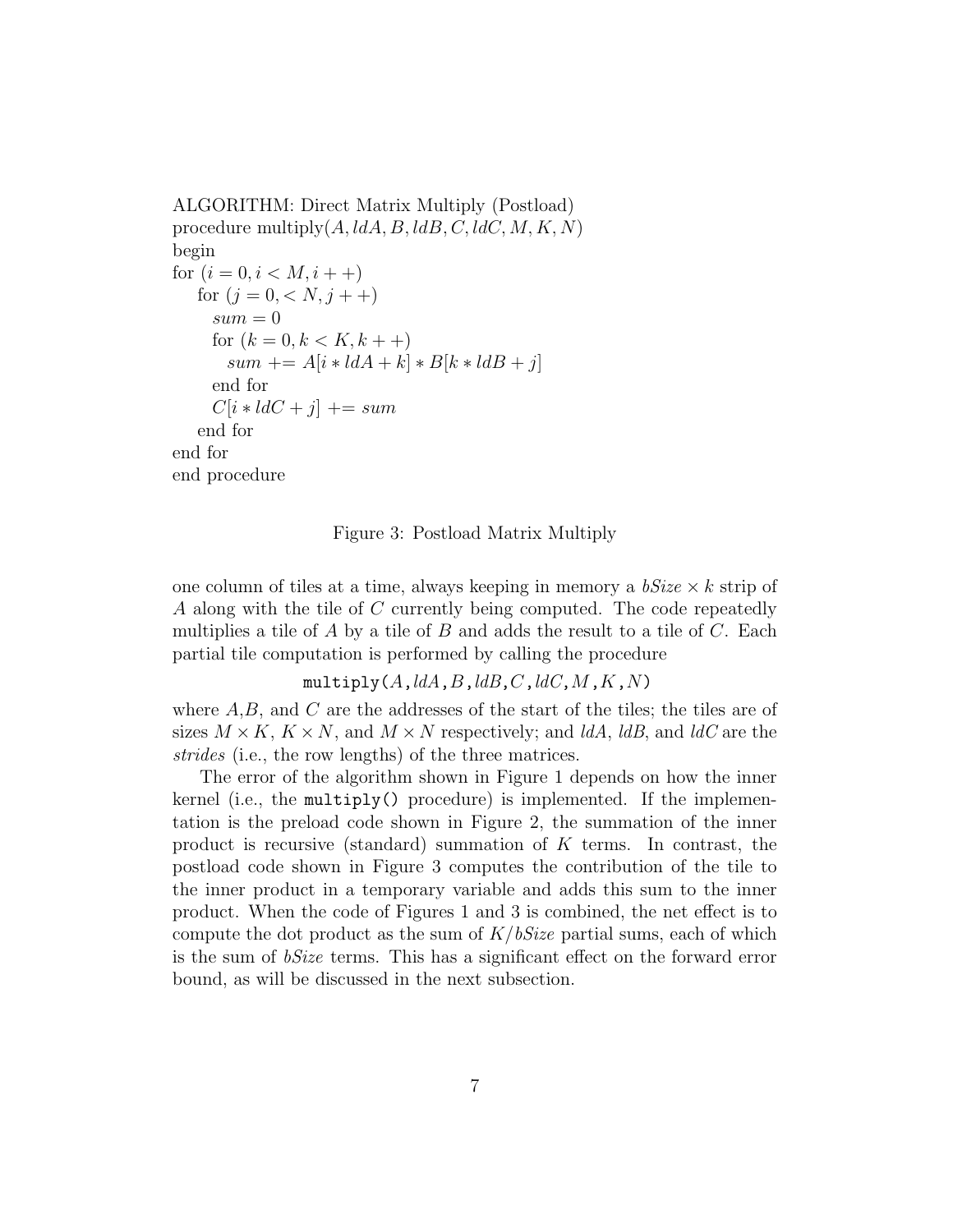ALGORITHM: Direct Matrix Multiply (Postload) procedure multiply $(A, dA, B, dB, C, dC, M, K, N)$ begin for  $(i = 0, i < M, i++)$ for  $(j = 0, \langle N, j + + \rangle)$  $sum = 0$ for  $(k = 0, k < K, k++)$  $sum \mathrel{+}= A[i * ldA + k] * B[k * ldB + j]$ end for  $C[i * ldC + j] += sum$ end for end for end procedure

Figure 3: Postload Matrix Multiply

one column of tiles at a time, always keeping in memory a  $bSize \times k$  strip of A along with the tile of C currently being computed. The code repeatedly multiplies a tile of  $A$  by a tile of  $B$  and adds the result to a tile of  $C$ . Each partial tile computation is performed by calling the procedure

multiply( $A$ ,  $\text{Id}A$ ,  $B$ ,  $\text{Id}B$ ,  $C$ ,  $\text{Id}C$ ,  $M$ ,  $K$ ,  $N$ )

where  $A, B$ , and  $C$  are the addresses of the start of the tiles; the tiles are of sizes  $M \times K$ ,  $K \times N$ , and  $M \times N$  respectively; and ldA, ldB, and ldC are the strides (i.e., the row lengths) of the three matrices.

The error of the algorithm shown in Figure 1 depends on how the inner kernel (i.e., the multiply() procedure) is implemented. If the implementation is the preload code shown in Figure 2, the summation of the inner product is recursive (standard) summation of  $K$  terms. In contrast, the postload code shown in Figure 3 computes the contribution of the tile to the inner product in a temporary variable and adds this sum to the inner product. When the code of Figures 1 and 3 is combined, the net effect is to compute the dot product as the sum of  $K/bSize$  partial sums, each of which is the sum of bSize terms. This has a significant effect on the forward error bound, as will be discussed in the next subsection.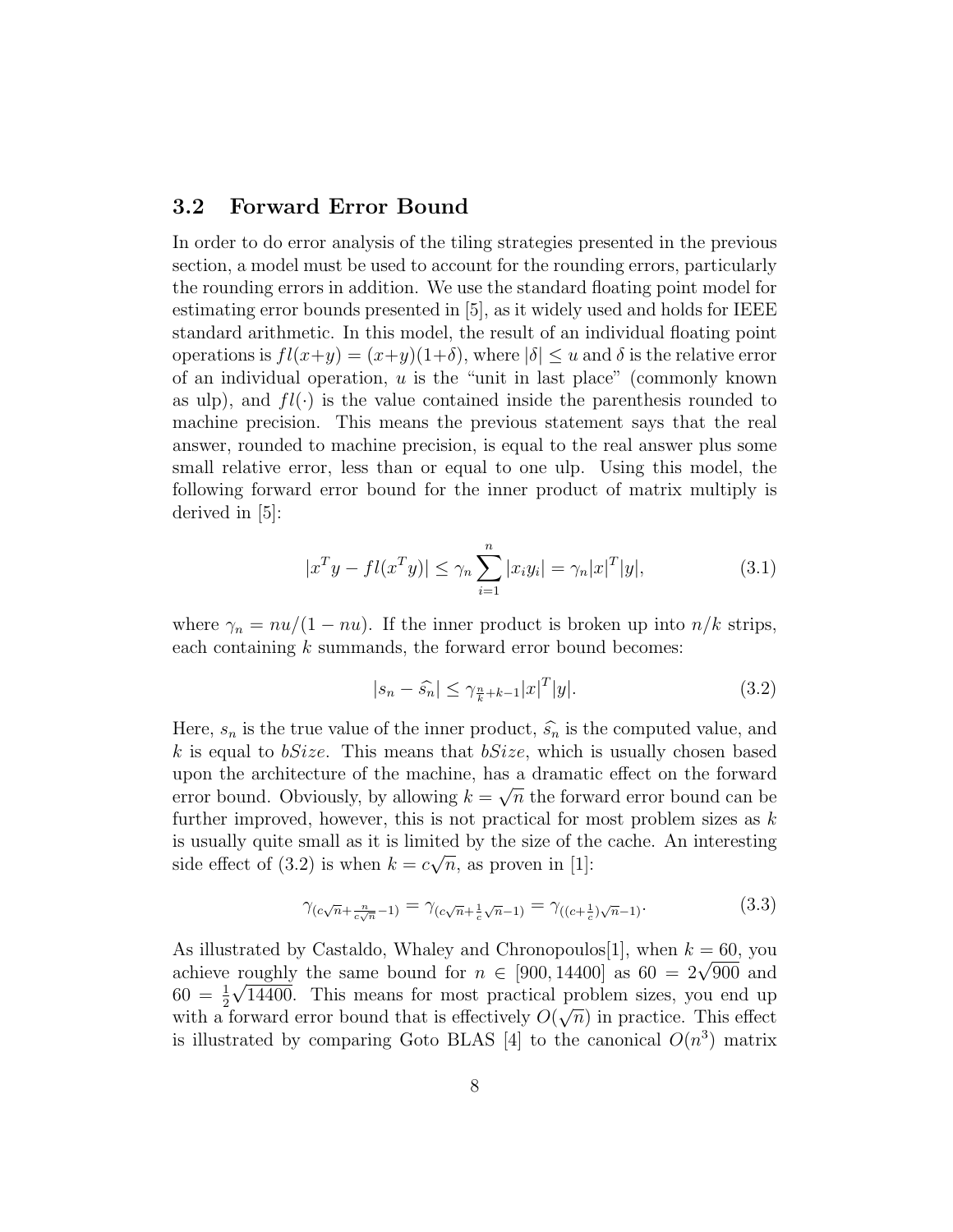#### 3.2 Forward Error Bound

In order to do error analysis of the tiling strategies presented in the previous section, a model must be used to account for the rounding errors, particularly the rounding errors in addition. We use the standard floating point model for estimating error bounds presented in [5], as it widely used and holds for IEEE standard arithmetic. In this model, the result of an individual floating point operations is  $fl(x+y) = (x+y)(1+\delta)$ , where  $|\delta| \le u$  and  $\delta$  is the relative error of an individual operation,  $u$  is the "unit in last place" (commonly known as ulp), and  $fl(\cdot)$  is the value contained inside the parenthesis rounded to machine precision. This means the previous statement says that the real answer, rounded to machine precision, is equal to the real answer plus some small relative error, less than or equal to one ulp. Using this model, the following forward error bound for the inner product of matrix multiply is derived in [5]:

$$
|x^T y - fl(x^T y)| \le \gamma_n \sum_{i=1}^n |x_i y_i| = \gamma_n |x|^T |y|,
$$
\n(3.1)

where  $\gamma_n = nu/(1 - nu)$ . If the inner product is broken up into  $n/k$  strips, each containing  $k$  summands, the forward error bound becomes:

$$
|s_n - \widehat{s_n}| \le \gamma_{\frac{n}{k} + k - 1} |x|^T |y|. \tag{3.2}
$$

Here,  $s_n$  is the true value of the inner product,  $\hat{s}_n$  is the computed value, and k is equal to  $bSize$ . This means that  $bSize$ , which is usually chosen based upon the architecture of the machine, has a dramatic effect on the forward error bound. Obviously, by allowing  $k = \sqrt{n}$  the forward error bound can be further improved, however, this is not practical for most problem sizes as  $k$ is usually quite small as it is limited by the size of the cache. An interesting side effect of (3.2) is when  $k = c\sqrt{n}$ , as proven in [1]:

$$
\gamma_{(c\sqrt{n}+\frac{n}{c\sqrt{n}}-1)} = \gamma_{(c\sqrt{n}+\frac{1}{c}\sqrt{n}-1)} = \gamma_{((c+\frac{1}{c})\sqrt{n}-1)}.\tag{3.3}
$$

As illustrated by Castaldo, Whaley and Chronopoulos<sup>[1]</sup>, when  $k = 60$ , you achieve roughly the same bound for  $n \in [900, 14400]$  as  $60 = 2\sqrt{900}$  and  $60 = \frac{1}{2}$  $\sqrt{14400}$ . This means for most practical problem sizes, you end up with a forward error bound that is effectively  $O(\sqrt{n})$  in practice. This effect is illustrated by comparing Goto BLAS [4] to the canonical  $O(n^3)$  matrix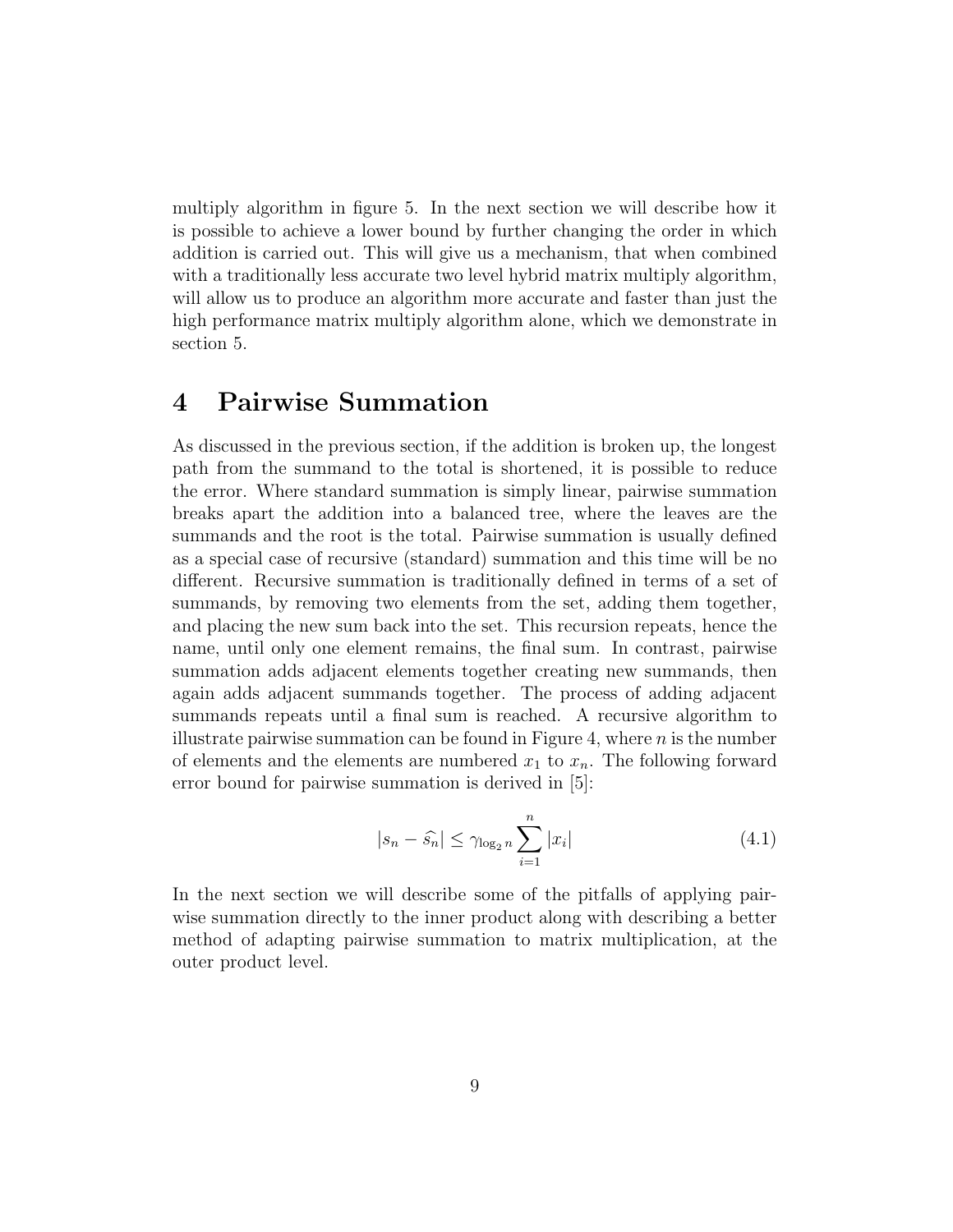multiply algorithm in figure 5. In the next section we will describe how it is possible to achieve a lower bound by further changing the order in which addition is carried out. This will give us a mechanism, that when combined with a traditionally less accurate two level hybrid matrix multiply algorithm, will allow us to produce an algorithm more accurate and faster than just the high performance matrix multiply algorithm alone, which we demonstrate in section 5.

### 4 Pairwise Summation

As discussed in the previous section, if the addition is broken up, the longest path from the summand to the total is shortened, it is possible to reduce the error. Where standard summation is simply linear, pairwise summation breaks apart the addition into a balanced tree, where the leaves are the summands and the root is the total. Pairwise summation is usually defined as a special case of recursive (standard) summation and this time will be no different. Recursive summation is traditionally defined in terms of a set of summands, by removing two elements from the set, adding them together, and placing the new sum back into the set. This recursion repeats, hence the name, until only one element remains, the final sum. In contrast, pairwise summation adds adjacent elements together creating new summands, then again adds adjacent summands together. The process of adding adjacent summands repeats until a final sum is reached. A recursive algorithm to illustrate pairwise summation can be found in Figure 4, where  $n$  is the number of elements and the elements are numbered  $x_1$  to  $x_n$ . The following forward error bound for pairwise summation is derived in [5]:

$$
|s_n - \widehat{s}_n| \le \gamma \log_2 n \sum_{i=1}^n |x_i| \tag{4.1}
$$

In the next section we will describe some of the pitfalls of applying pairwise summation directly to the inner product along with describing a better method of adapting pairwise summation to matrix multiplication, at the outer product level.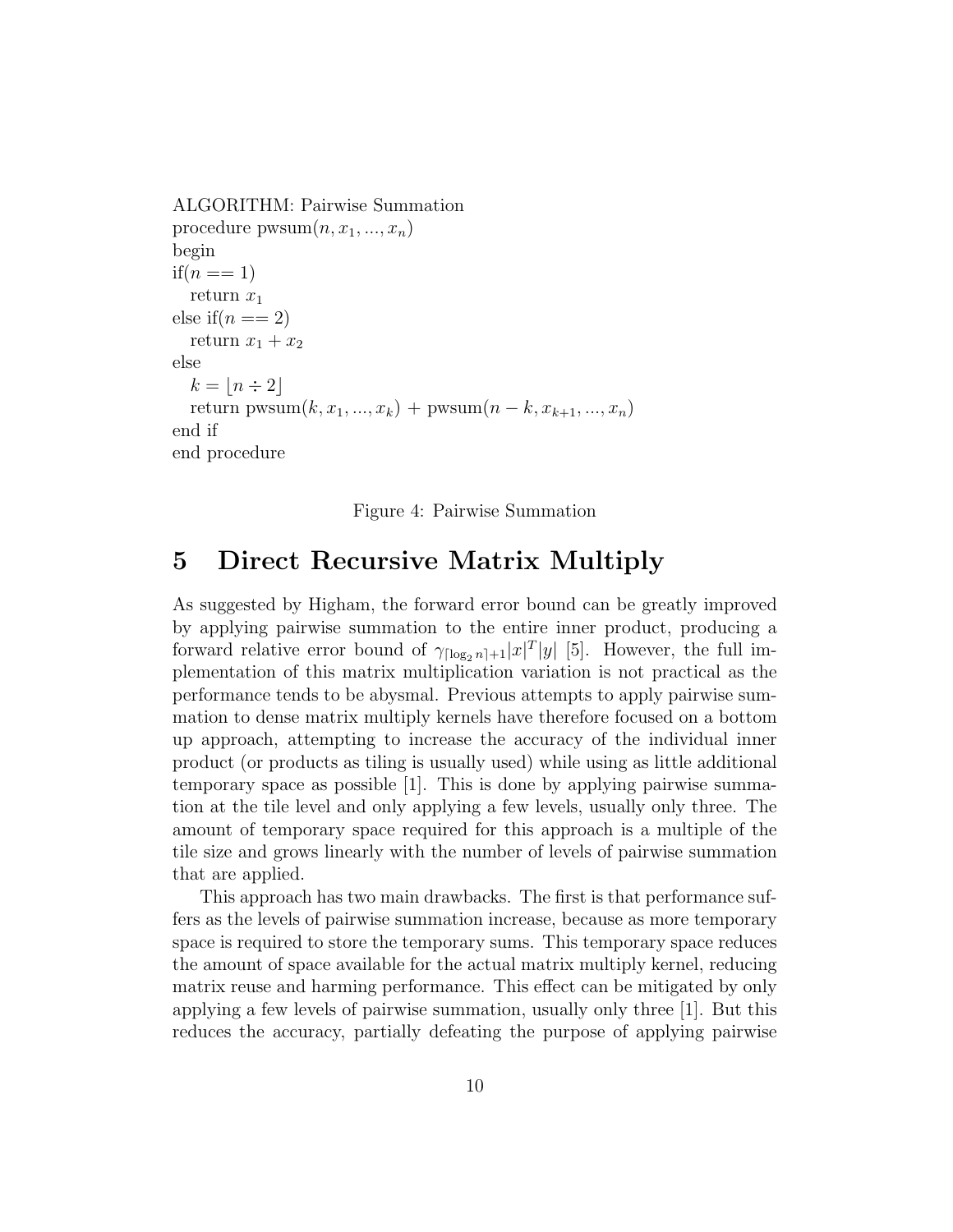```
ALGORITHM: Pairwise Summation
procedure \text{pwsum}(n, x_1, ..., x_n)begin
if(n == 1)return x_1else if(n == 2)return x_1 + x_2else
  k = |n \div 2|return pwsum(k, x_1, ..., x_k) + pwsum(n - k, x_{k+1}, ..., x_n)end if
end procedure
```
Figure 4: Pairwise Summation

### 5 Direct Recursive Matrix Multiply

As suggested by Higham, the forward error bound can be greatly improved by applying pairwise summation to the entire inner product, producing a forward relative error bound of  $\gamma_{\lceil \log_2 n \rceil + 1} |x|^T |y|$  [5]. However, the full implementation of this matrix multiplication variation is not practical as the performance tends to be abysmal. Previous attempts to apply pairwise summation to dense matrix multiply kernels have therefore focused on a bottom up approach, attempting to increase the accuracy of the individual inner product (or products as tiling is usually used) while using as little additional temporary space as possible [1]. This is done by applying pairwise summation at the tile level and only applying a few levels, usually only three. The amount of temporary space required for this approach is a multiple of the tile size and grows linearly with the number of levels of pairwise summation that are applied.

This approach has two main drawbacks. The first is that performance suffers as the levels of pairwise summation increase, because as more temporary space is required to store the temporary sums. This temporary space reduces the amount of space available for the actual matrix multiply kernel, reducing matrix reuse and harming performance. This effect can be mitigated by only applying a few levels of pairwise summation, usually only three [1]. But this reduces the accuracy, partially defeating the purpose of applying pairwise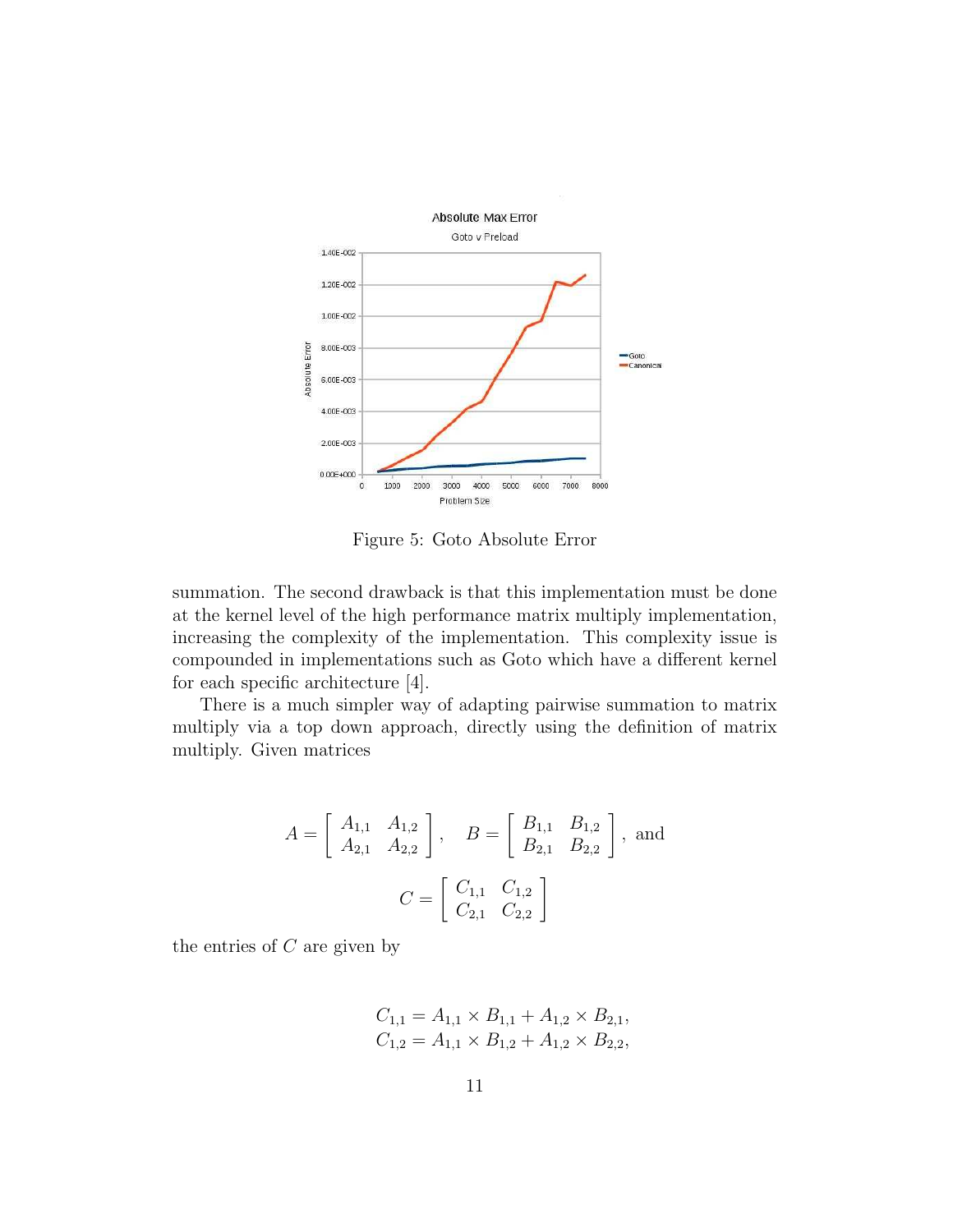

Figure 5: Goto Absolute Error

summation. The second drawback is that this implementation must be done at the kernel level of the high performance matrix multiply implementation, increasing the complexity of the implementation. This complexity issue is compounded in implementations such as Goto which have a different kernel for each specific architecture [4].

There is a much simpler way of adapting pairwise summation to matrix multiply via a top down approach, directly using the definition of matrix multiply. Given matrices

$$
A = \begin{bmatrix} A_{1,1} & A_{1,2} \\ A_{2,1} & A_{2,2} \end{bmatrix}, \quad B = \begin{bmatrix} B_{1,1} & B_{1,2} \\ B_{2,1} & B_{2,2} \end{bmatrix}, \text{ and}
$$

$$
C = \begin{bmatrix} C_{1,1} & C_{1,2} \\ C_{2,1} & C_{2,2} \end{bmatrix}
$$

the entries of  $C$  are given by

$$
C_{1,1} = A_{1,1} \times B_{1,1} + A_{1,2} \times B_{2,1},
$$
  
\n
$$
C_{1,2} = A_{1,1} \times B_{1,2} + A_{1,2} \times B_{2,2},
$$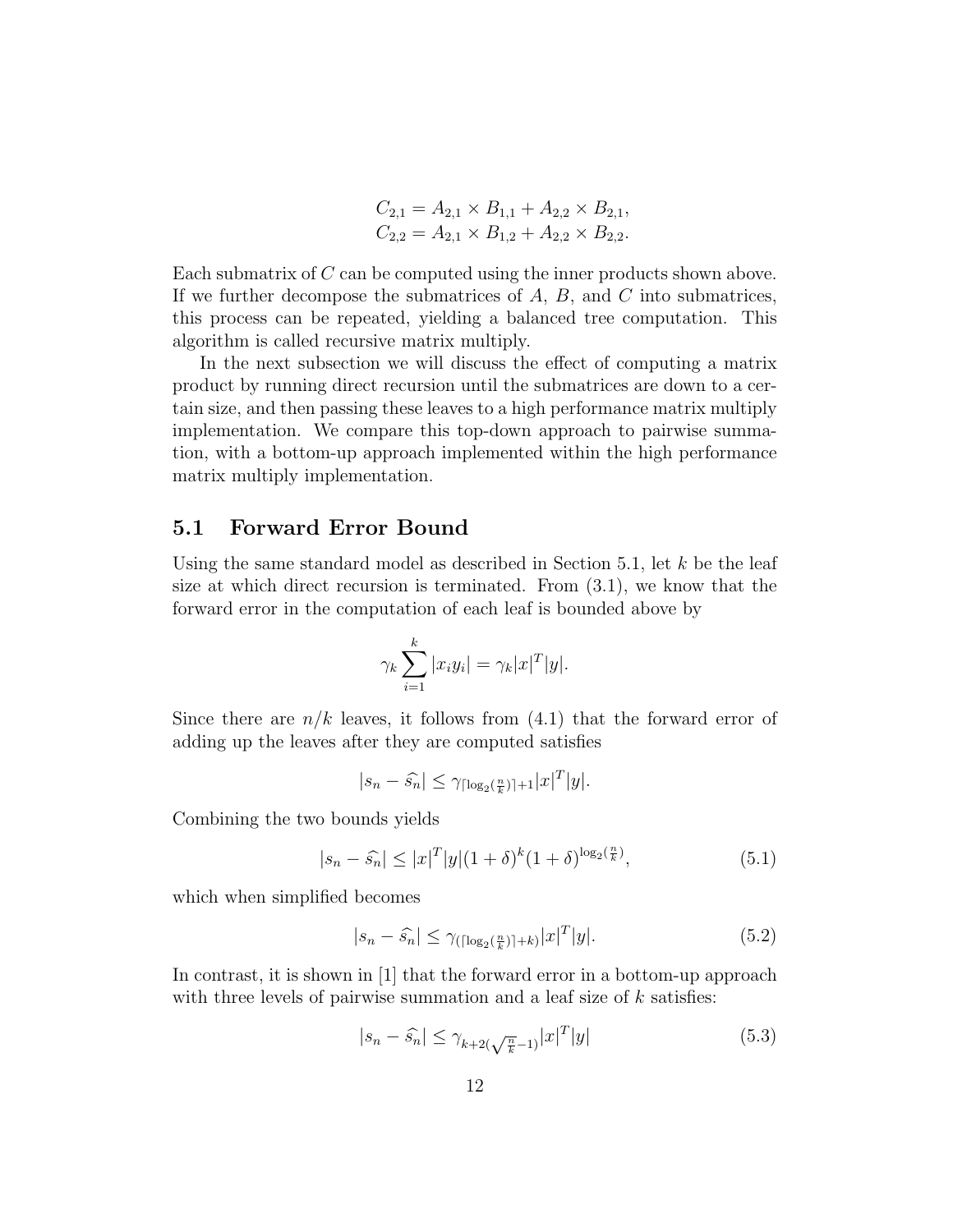$$
C_{2,1} = A_{2,1} \times B_{1,1} + A_{2,2} \times B_{2,1},
$$
  
\n
$$
C_{2,2} = A_{2,1} \times B_{1,2} + A_{2,2} \times B_{2,2}.
$$

Each submatrix of C can be computed using the inner products shown above. If we further decompose the submatrices of  $A, B$ , and  $C$  into submatrices, this process can be repeated, yielding a balanced tree computation. This algorithm is called recursive matrix multiply.

In the next subsection we will discuss the effect of computing a matrix product by running direct recursion until the submatrices are down to a certain size, and then passing these leaves to a high performance matrix multiply implementation. We compare this top-down approach to pairwise summation, with a bottom-up approach implemented within the high performance matrix multiply implementation.

#### 5.1 Forward Error Bound

Using the same standard model as described in Section 5.1, let  $k$  be the leaf size at which direct recursion is terminated. From (3.1), we know that the forward error in the computation of each leaf is bounded above by

$$
\gamma_k \sum_{i=1}^k |x_i y_i| = \gamma_k |x|^T |y|.
$$

Since there are  $n/k$  leaves, it follows from (4.1) that the forward error of adding up the leaves after they are computed satisfies

$$
|s_n - \widehat{s_n}| \leq \gamma \log_2(\frac{n}{k}) + 1 |x|^T |y|.
$$

Combining the two bounds yields

$$
|s_n - \hat{s}_n| \le |x|^T |y|(1+\delta)^k (1+\delta)^{\log_2(\frac{n}{k})},\tag{5.1}
$$

which when simplified becomes

$$
|s_n - \widehat{s_n}| \le \gamma_{(\lceil \log_2(\frac{n}{k}) \rceil + k)} |x|^T |y|. \tag{5.2}
$$

In contrast, it is shown in [1] that the forward error in a bottom-up approach with three levels of pairwise summation and a leaf size of  $k$  satisfies:

$$
|s_n - \widehat{s_n}| \le \gamma_{k+2(\sqrt{\frac{n}{k}} - 1)} |x|^T |y| \tag{5.3}
$$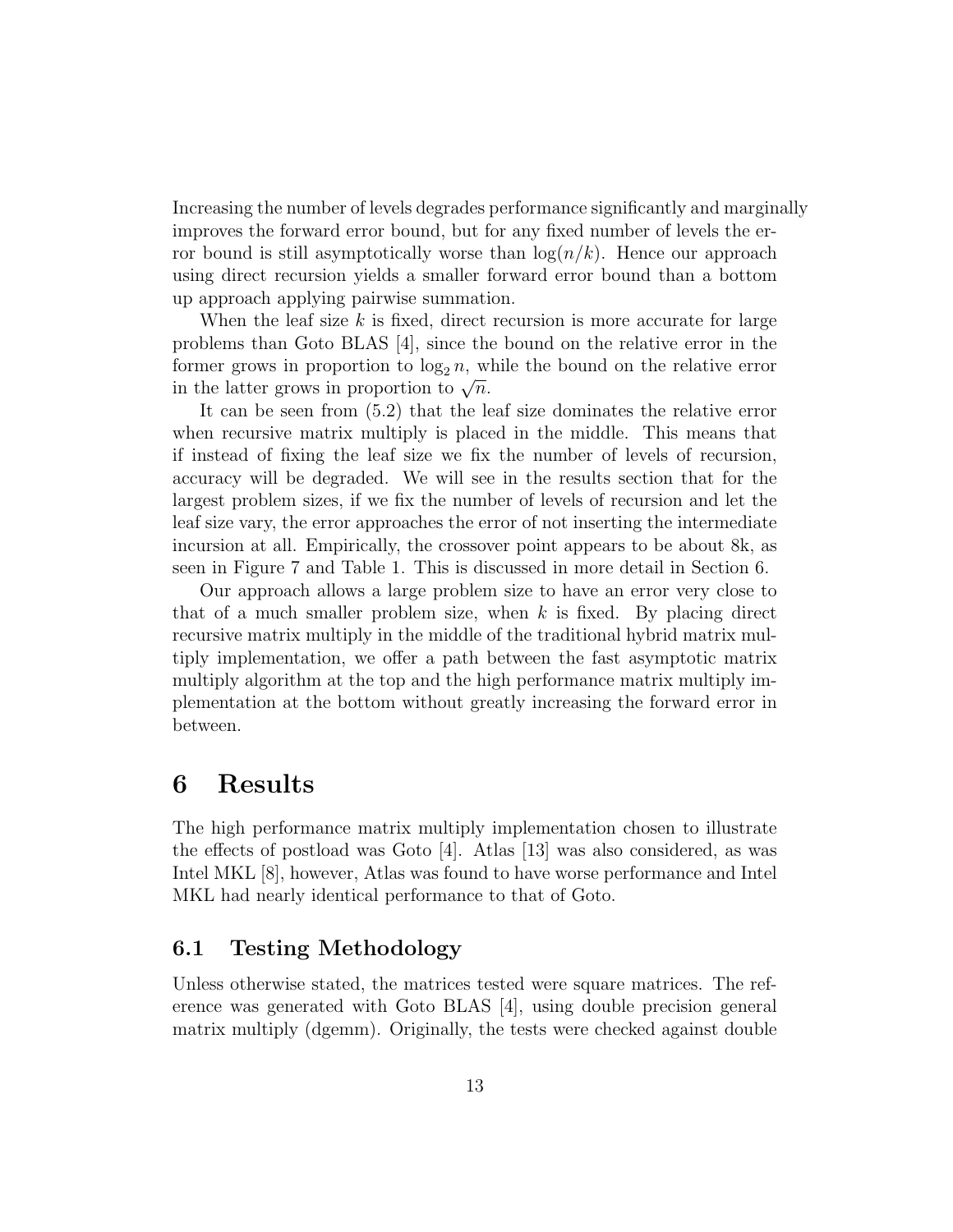Increasing the number of levels degrades performance significantly and marginally improves the forward error bound, but for any fixed number of levels the error bound is still asymptotically worse than  $log(n/k)$ . Hence our approach using direct recursion yields a smaller forward error bound than a bottom up approach applying pairwise summation.

When the leaf size  $k$  is fixed, direct recursion is more accurate for large problems than Goto BLAS [4], since the bound on the relative error in the former grows in proportion to  $\log_2 n$ , while the bound on the relative error in the latter grows in proportion to  $\sqrt{n}$ .

It can be seen from (5.2) that the leaf size dominates the relative error when recursive matrix multiply is placed in the middle. This means that if instead of fixing the leaf size we fix the number of levels of recursion, accuracy will be degraded. We will see in the results section that for the largest problem sizes, if we fix the number of levels of recursion and let the leaf size vary, the error approaches the error of not inserting the intermediate incursion at all. Empirically, the crossover point appears to be about 8k, as seen in Figure 7 and Table 1. This is discussed in more detail in Section 6.

Our approach allows a large problem size to have an error very close to that of a much smaller problem size, when  $k$  is fixed. By placing direct recursive matrix multiply in the middle of the traditional hybrid matrix multiply implementation, we offer a path between the fast asymptotic matrix multiply algorithm at the top and the high performance matrix multiply implementation at the bottom without greatly increasing the forward error in between.

### 6 Results

The high performance matrix multiply implementation chosen to illustrate the effects of postload was Goto [4]. Atlas [13] was also considered, as was Intel MKL [8], however, Atlas was found to have worse performance and Intel MKL had nearly identical performance to that of Goto.

#### 6.1 Testing Methodology

Unless otherwise stated, the matrices tested were square matrices. The reference was generated with Goto BLAS [4], using double precision general matrix multiply (dgemm). Originally, the tests were checked against double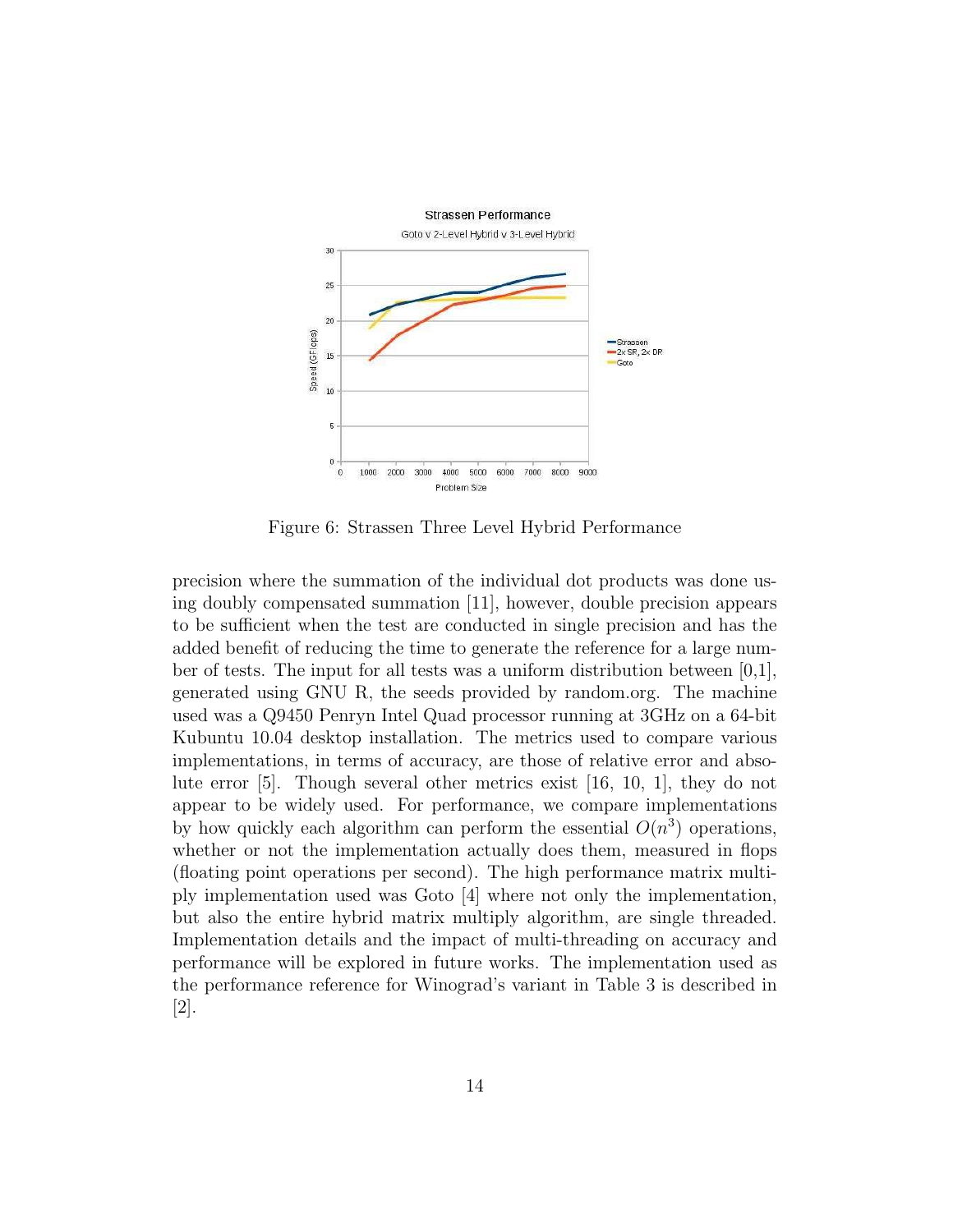

Figure 6: Strassen Three Level Hybrid Performance

precision where the summation of the individual dot products was done using doubly compensated summation [11], however, double precision appears to be sufficient when the test are conducted in single precision and has the added benefit of reducing the time to generate the reference for a large number of tests. The input for all tests was a uniform distribution between  $[0,1]$ , generated using GNU R, the seeds provided by random.org. The machine used was a Q9450 Penryn Intel Quad processor running at 3GHz on a 64-bit Kubuntu 10.04 desktop installation. The metrics used to compare various implementations, in terms of accuracy, are those of relative error and absolute error [5]. Though several other metrics exist [16, 10, 1], they do not appear to be widely used. For performance, we compare implementations by how quickly each algorithm can perform the essential  $O(n^3)$  operations, whether or not the implementation actually does them, measured in flops (floating point operations per second). The high performance matrix multiply implementation used was Goto [4] where not only the implementation, but also the entire hybrid matrix multiply algorithm, are single threaded. Implementation details and the impact of multi-threading on accuracy and performance will be explored in future works. The implementation used as the performance reference for Winograd's variant in Table 3 is described in [2].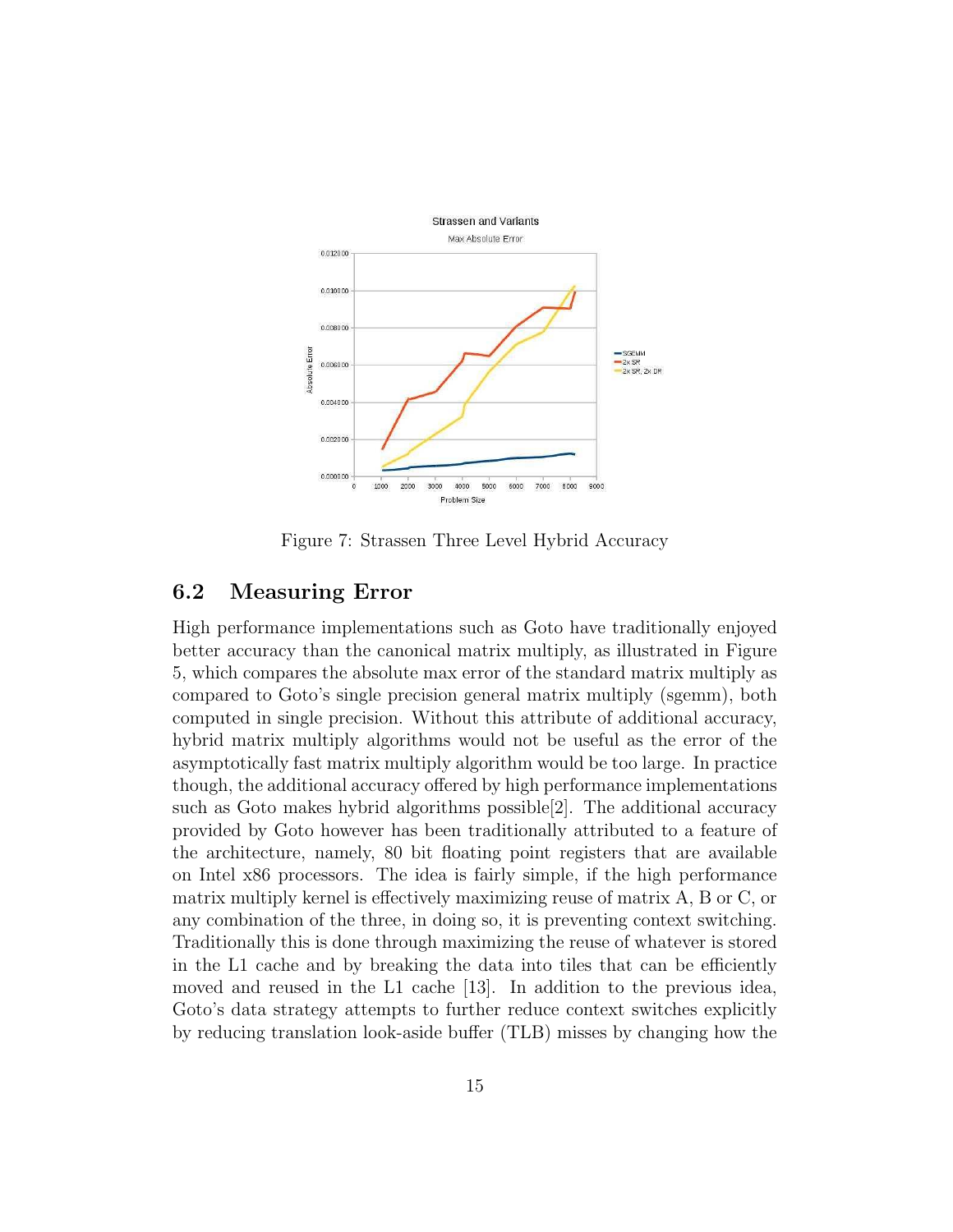

Figure 7: Strassen Three Level Hybrid Accuracy

#### 6.2 Measuring Error

High performance implementations such as Goto have traditionally enjoyed better accuracy than the canonical matrix multiply, as illustrated in Figure 5, which compares the absolute max error of the standard matrix multiply as compared to Goto's single precision general matrix multiply (sgemm), both computed in single precision. Without this attribute of additional accuracy, hybrid matrix multiply algorithms would not be useful as the error of the asymptotically fast matrix multiply algorithm would be too large. In practice though, the additional accuracy offered by high performance implementations such as Goto makes hybrid algorithms possible[2]. The additional accuracy provided by Goto however has been traditionally attributed to a feature of the architecture, namely, 80 bit floating point registers that are available on Intel x86 processors. The idea is fairly simple, if the high performance matrix multiply kernel is effectively maximizing reuse of matrix A, B or C, or any combination of the three, in doing so, it is preventing context switching. Traditionally this is done through maximizing the reuse of whatever is stored in the L1 cache and by breaking the data into tiles that can be efficiently moved and reused in the L1 cache [13]. In addition to the previous idea, Goto's data strategy attempts to further reduce context switches explicitly by reducing translation look-aside buffer (TLB) misses by changing how the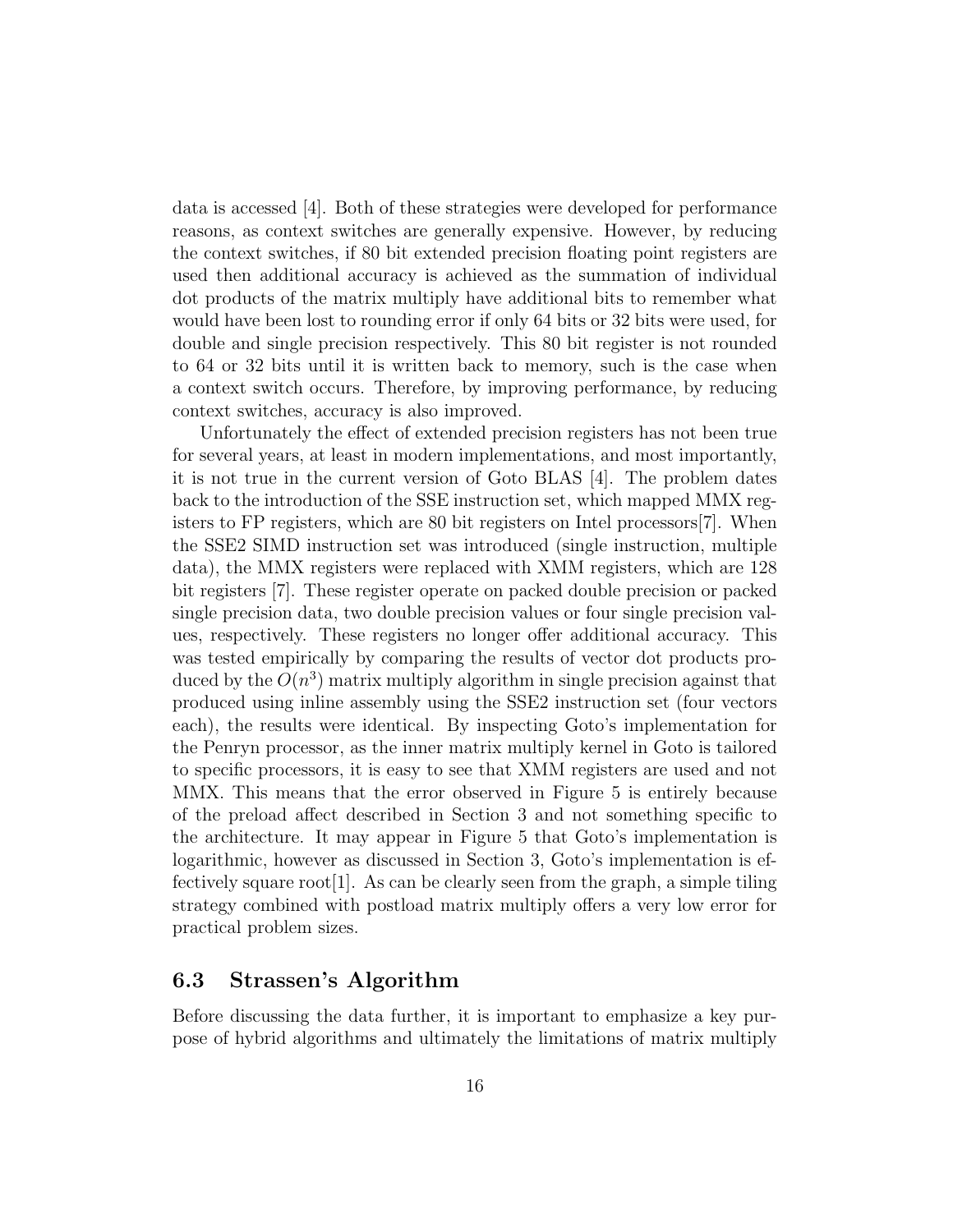data is accessed [4]. Both of these strategies were developed for performance reasons, as context switches are generally expensive. However, by reducing the context switches, if 80 bit extended precision floating point registers are used then additional accuracy is achieved as the summation of individual dot products of the matrix multiply have additional bits to remember what would have been lost to rounding error if only 64 bits or 32 bits were used, for double and single precision respectively. This 80 bit register is not rounded to 64 or 32 bits until it is written back to memory, such is the case when a context switch occurs. Therefore, by improving performance, by reducing context switches, accuracy is also improved.

Unfortunately the effect of extended precision registers has not been true for several years, at least in modern implementations, and most importantly, it is not true in the current version of Goto BLAS [4]. The problem dates back to the introduction of the SSE instruction set, which mapped MMX registers to FP registers, which are 80 bit registers on Intel processors[7]. When the SSE2 SIMD instruction set was introduced (single instruction, multiple data), the MMX registers were replaced with XMM registers, which are 128 bit registers [7]. These register operate on packed double precision or packed single precision data, two double precision values or four single precision values, respectively. These registers no longer offer additional accuracy. This was tested empirically by comparing the results of vector dot products produced by the  $O(n^3)$  matrix multiply algorithm in single precision against that produced using inline assembly using the SSE2 instruction set (four vectors each), the results were identical. By inspecting Goto's implementation for the Penryn processor, as the inner matrix multiply kernel in Goto is tailored to specific processors, it is easy to see that XMM registers are used and not MMX. This means that the error observed in Figure 5 is entirely because of the preload affect described in Section 3 and not something specific to the architecture. It may appear in Figure 5 that Goto's implementation is logarithmic, however as discussed in Section 3, Goto's implementation is effectively square root [1]. As can be clearly seen from the graph, a simple tiling strategy combined with postload matrix multiply offers a very low error for practical problem sizes.

#### 6.3 Strassen's Algorithm

Before discussing the data further, it is important to emphasize a key purpose of hybrid algorithms and ultimately the limitations of matrix multiply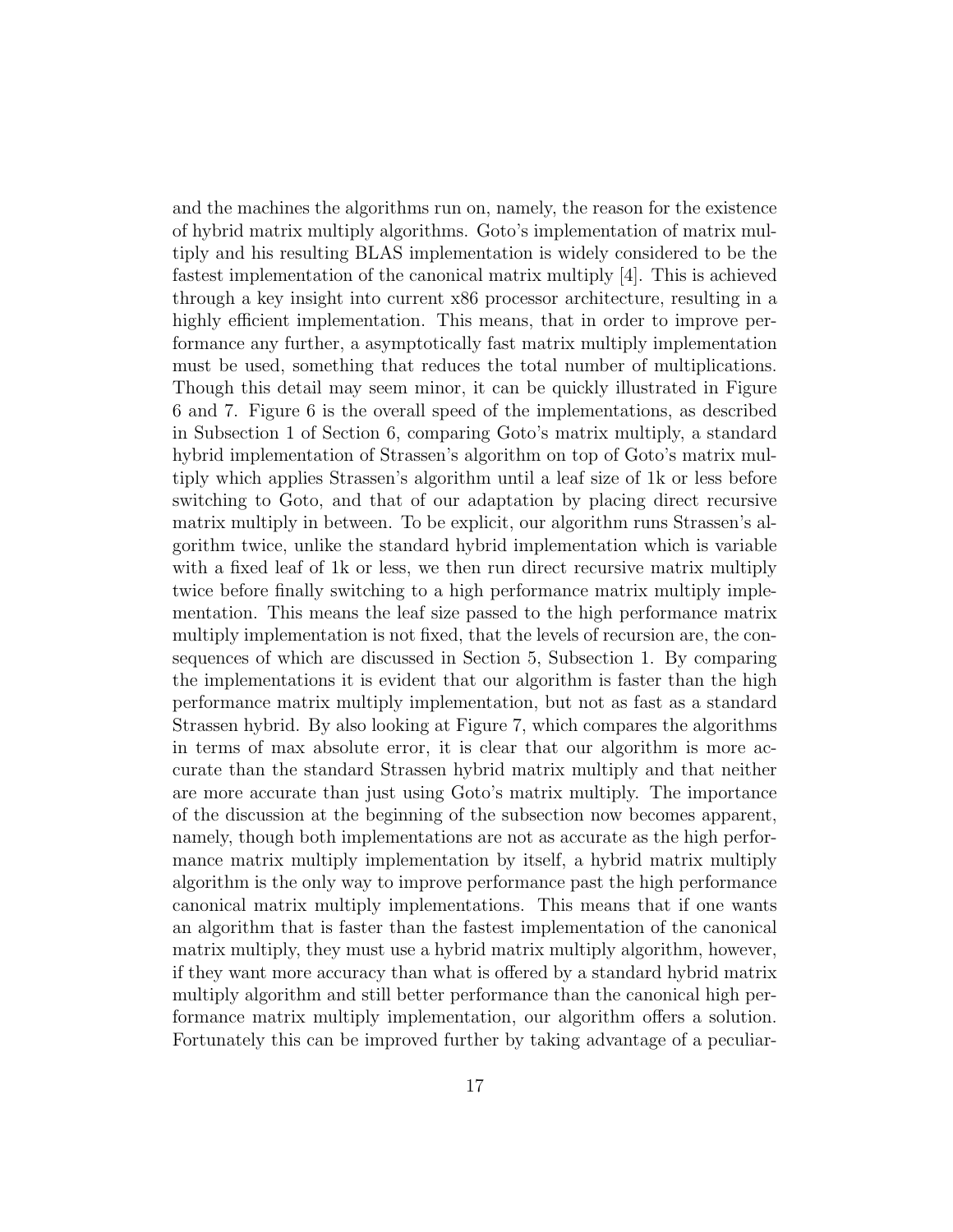and the machines the algorithms run on, namely, the reason for the existence of hybrid matrix multiply algorithms. Goto's implementation of matrix multiply and his resulting BLAS implementation is widely considered to be the fastest implementation of the canonical matrix multiply [4]. This is achieved through a key insight into current x86 processor architecture, resulting in a highly efficient implementation. This means, that in order to improve performance any further, a asymptotically fast matrix multiply implementation must be used, something that reduces the total number of multiplications. Though this detail may seem minor, it can be quickly illustrated in Figure 6 and 7. Figure 6 is the overall speed of the implementations, as described in Subsection 1 of Section 6, comparing Goto's matrix multiply, a standard hybrid implementation of Strassen's algorithm on top of Goto's matrix multiply which applies Strassen's algorithm until a leaf size of 1k or less before switching to Goto, and that of our adaptation by placing direct recursive matrix multiply in between. To be explicit, our algorithm runs Strassen's algorithm twice, unlike the standard hybrid implementation which is variable with a fixed leaf of 1k or less, we then run direct recursive matrix multiply twice before finally switching to a high performance matrix multiply implementation. This means the leaf size passed to the high performance matrix multiply implementation is not fixed, that the levels of recursion are, the consequences of which are discussed in Section 5, Subsection 1. By comparing the implementations it is evident that our algorithm is faster than the high performance matrix multiply implementation, but not as fast as a standard Strassen hybrid. By also looking at Figure 7, which compares the algorithms in terms of max absolute error, it is clear that our algorithm is more accurate than the standard Strassen hybrid matrix multiply and that neither are more accurate than just using Goto's matrix multiply. The importance of the discussion at the beginning of the subsection now becomes apparent, namely, though both implementations are not as accurate as the high performance matrix multiply implementation by itself, a hybrid matrix multiply algorithm is the only way to improve performance past the high performance canonical matrix multiply implementations. This means that if one wants an algorithm that is faster than the fastest implementation of the canonical matrix multiply, they must use a hybrid matrix multiply algorithm, however, if they want more accuracy than what is offered by a standard hybrid matrix multiply algorithm and still better performance than the canonical high performance matrix multiply implementation, our algorithm offers a solution. Fortunately this can be improved further by taking advantage of a peculiar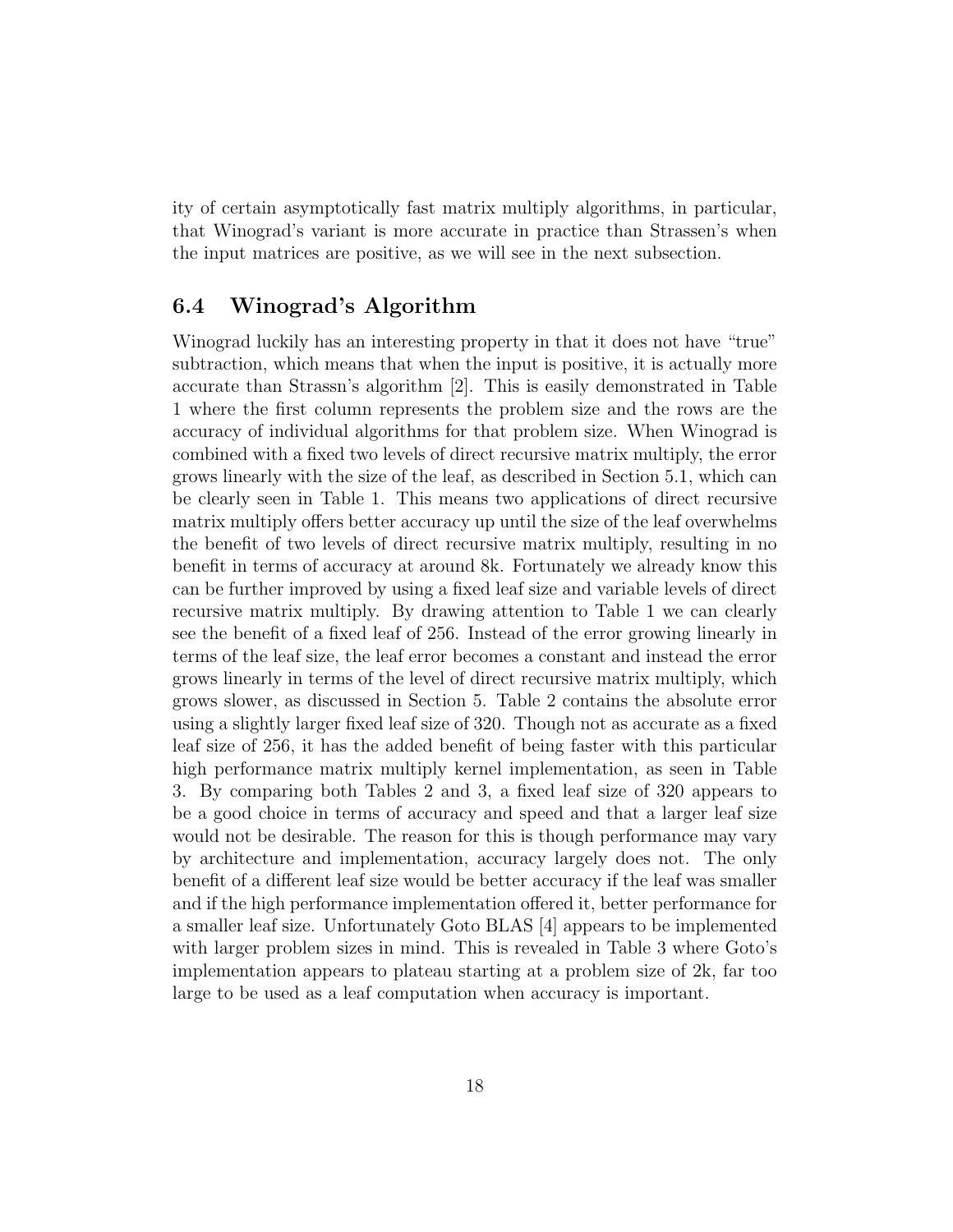ity of certain asymptotically fast matrix multiply algorithms, in particular, that Winograd's variant is more accurate in practice than Strassen's when the input matrices are positive, as we will see in the next subsection.

#### 6.4 Winograd's Algorithm

Winograd luckily has an interesting property in that it does not have "true" subtraction, which means that when the input is positive, it is actually more accurate than Strassn's algorithm [2]. This is easily demonstrated in Table 1 where the first column represents the problem size and the rows are the accuracy of individual algorithms for that problem size. When Winograd is combined with a fixed two levels of direct recursive matrix multiply, the error grows linearly with the size of the leaf, as described in Section 5.1, which can be clearly seen in Table 1. This means two applications of direct recursive matrix multiply offers better accuracy up until the size of the leaf overwhelms the benefit of two levels of direct recursive matrix multiply, resulting in no benefit in terms of accuracy at around 8k. Fortunately we already know this can be further improved by using a fixed leaf size and variable levels of direct recursive matrix multiply. By drawing attention to Table 1 we can clearly see the benefit of a fixed leaf of 256. Instead of the error growing linearly in terms of the leaf size, the leaf error becomes a constant and instead the error grows linearly in terms of the level of direct recursive matrix multiply, which grows slower, as discussed in Section 5. Table 2 contains the absolute error using a slightly larger fixed leaf size of 320. Though not as accurate as a fixed leaf size of 256, it has the added benefit of being faster with this particular high performance matrix multiply kernel implementation, as seen in Table 3. By comparing both Tables 2 and 3, a fixed leaf size of 320 appears to be a good choice in terms of accuracy and speed and that a larger leaf size would not be desirable. The reason for this is though performance may vary by architecture and implementation, accuracy largely does not. The only benefit of a different leaf size would be better accuracy if the leaf was smaller and if the high performance implementation offered it, better performance for a smaller leaf size. Unfortunately Goto BLAS [4] appears to be implemented with larger problem sizes in mind. This is revealed in Table 3 where Goto's implementation appears to plateau starting at a problem size of 2k, far too large to be used as a leaf computation when accuracy is important.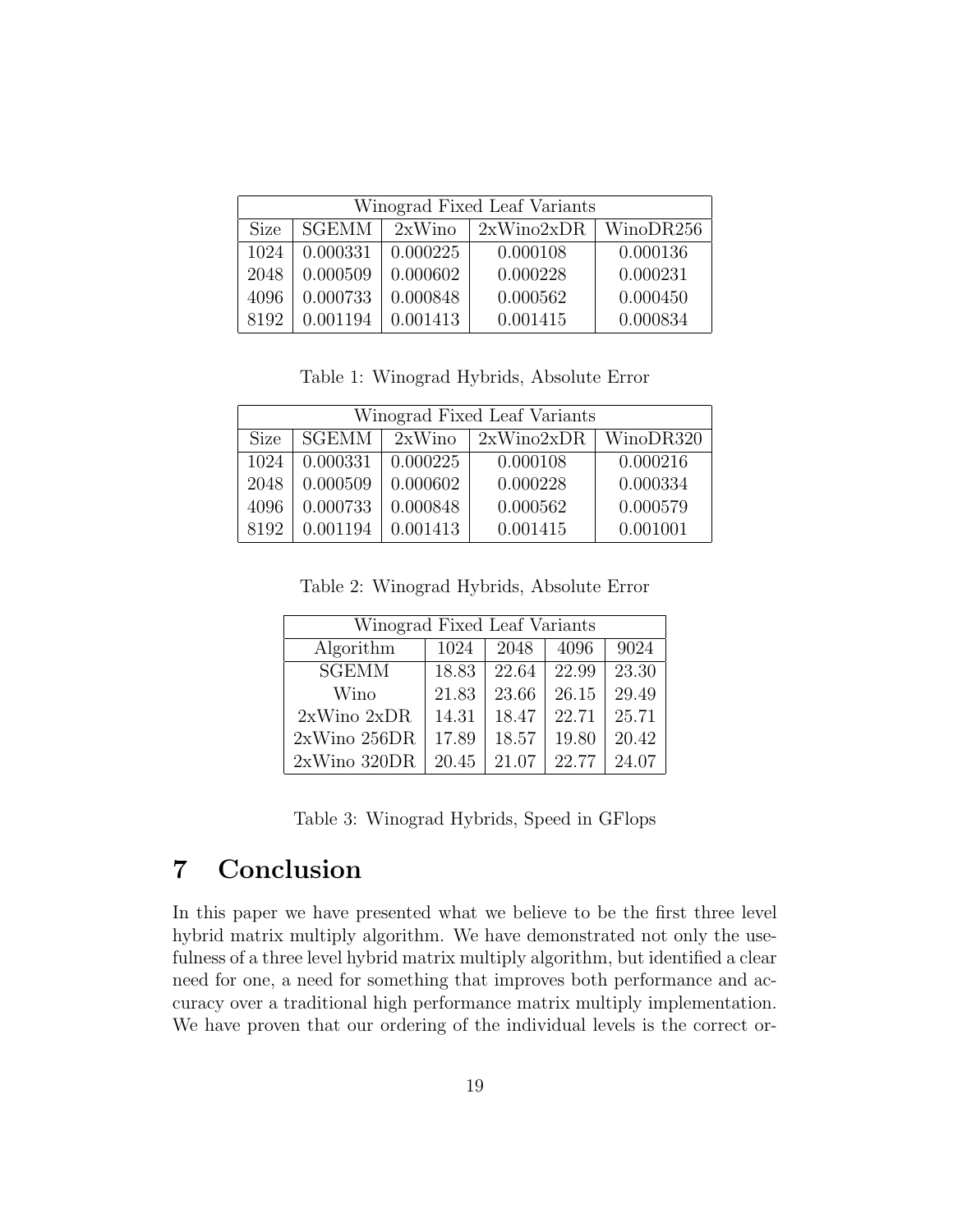| Winograd Fixed Leaf Variants |              |          |                          |          |  |  |  |  |  |
|------------------------------|--------------|----------|--------------------------|----------|--|--|--|--|--|
| <b>Size</b>                  | <b>SGEMM</b> | 2xWino   | $2xWino2xDR$   WinoDR256 |          |  |  |  |  |  |
| 1024                         | 0.000331     | 0.000225 | 0.000108                 | 0.000136 |  |  |  |  |  |
| 2048                         | 0.000509     | 0.000602 | 0.000228                 | 0.000231 |  |  |  |  |  |
| 4096                         | 0.000733     | 0.000848 | 0.000562                 | 0.000450 |  |  |  |  |  |
| 8192                         | 0.001194     | 0.001413 | 0.001415                 | 0.000834 |  |  |  |  |  |

Table 1: Winograd Hybrids, Absolute Error

| Winograd Fixed Leaf Variants |          |          |                          |          |  |  |  |  |  |
|------------------------------|----------|----------|--------------------------|----------|--|--|--|--|--|
| <b>Size</b>                  | SGEMM    | 2xWino   | $2xWino2xDR$   WinoDR320 |          |  |  |  |  |  |
| 1024                         | 0.000331 | 0.000225 | 0.000108                 | 0.000216 |  |  |  |  |  |
| 2048                         | 0.000509 | 0.000602 | 0.000228                 | 0.000334 |  |  |  |  |  |
| 4096                         | 0.000733 | 0.000848 | 0.000562                 | 0.000579 |  |  |  |  |  |
| 8192                         | 0.001194 | 0.001413 | 0.001415                 | 0.001001 |  |  |  |  |  |

Table 2: Winograd Hybrids, Absolute Error

| Winograd Fixed Leaf Variants |       |       |       |       |  |  |  |  |
|------------------------------|-------|-------|-------|-------|--|--|--|--|
| Algorithm                    | 1024  | 2048  | 4096  | 9024  |  |  |  |  |
| <b>SGEMM</b>                 | 18.83 | 22.64 | 22.99 | 23.30 |  |  |  |  |
| Wino                         | 21.83 | 23.66 | 26.15 | 29.49 |  |  |  |  |
| $2xW$ ino $2xDR$             | 14.31 | 18.47 | 22.71 | 25.71 |  |  |  |  |
| $2xW$ ino $256DR$            | 17.89 | 18.57 | 19.80 | 20.42 |  |  |  |  |
| $2xWino$ 320DR               | 20.45 | 21.07 | 22.77 | 24.07 |  |  |  |  |

Table 3: Winograd Hybrids, Speed in GFlops

### 7 Conclusion

In this paper we have presented what we believe to be the first three level hybrid matrix multiply algorithm. We have demonstrated not only the usefulness of a three level hybrid matrix multiply algorithm, but identified a clear need for one, a need for something that improves both performance and accuracy over a traditional high performance matrix multiply implementation. We have proven that our ordering of the individual levels is the correct or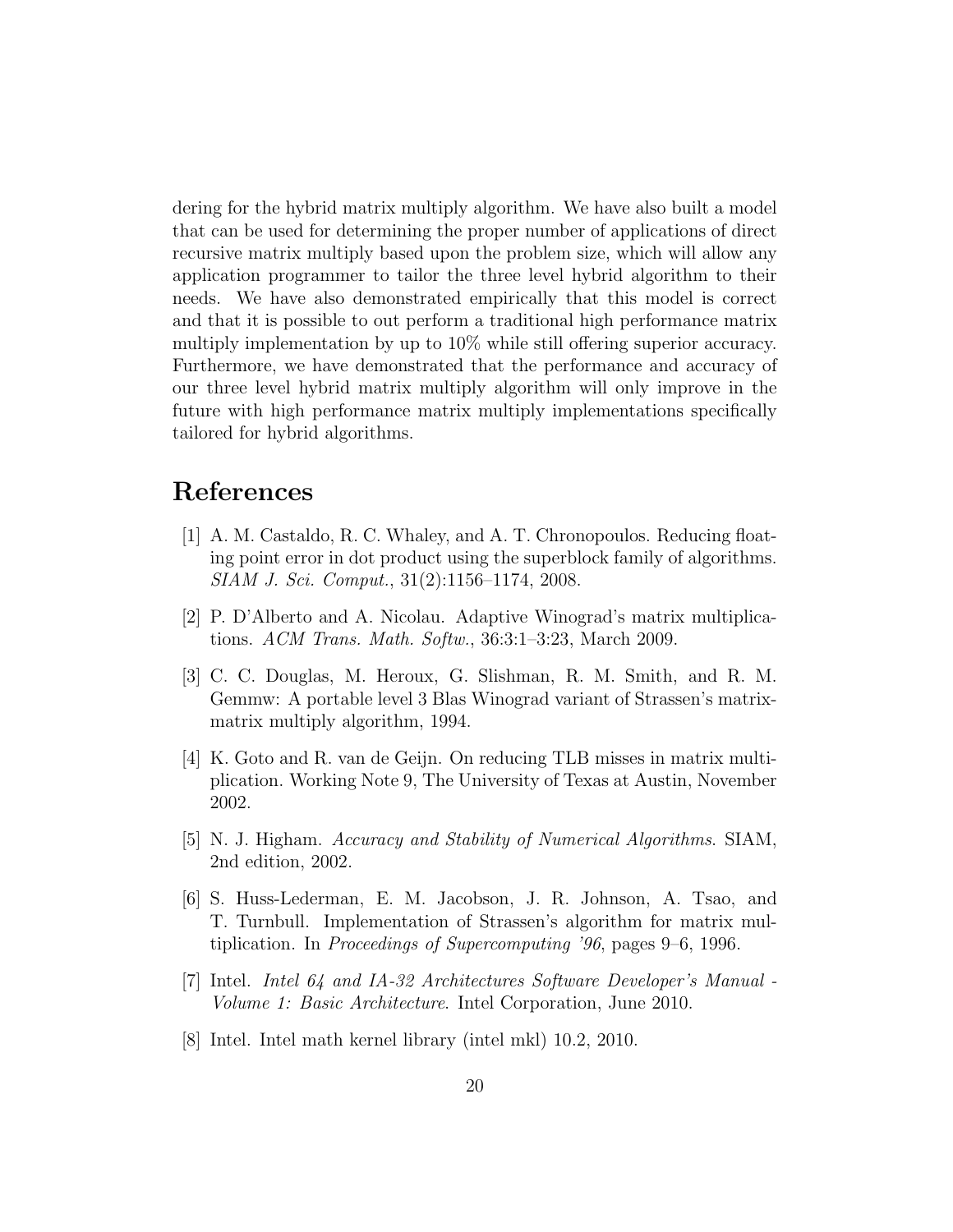dering for the hybrid matrix multiply algorithm. We have also built a model that can be used for determining the proper number of applications of direct recursive matrix multiply based upon the problem size, which will allow any application programmer to tailor the three level hybrid algorithm to their needs. We have also demonstrated empirically that this model is correct and that it is possible to out perform a traditional high performance matrix multiply implementation by up to 10% while still offering superior accuracy. Furthermore, we have demonstrated that the performance and accuracy of our three level hybrid matrix multiply algorithm will only improve in the future with high performance matrix multiply implementations specifically tailored for hybrid algorithms.

### References

- [1] A. M. Castaldo, R. C. Whaley, and A. T. Chronopoulos. Reducing floating point error in dot product using the superblock family of algorithms. SIAM J. Sci. Comput., 31(2):1156–1174, 2008.
- [2] P. D'Alberto and A. Nicolau. Adaptive Winograd's matrix multiplications. ACM Trans. Math. Softw., 36:3:1–3:23, March 2009.
- [3] C. C. Douglas, M. Heroux, G. Slishman, R. M. Smith, and R. M. Gemmw: A portable level 3 Blas Winograd variant of Strassen's matrixmatrix multiply algorithm, 1994.
- [4] K. Goto and R. van de Geijn. On reducing TLB misses in matrix multiplication. Working Note 9, The University of Texas at Austin, November 2002.
- [5] N. J. Higham. Accuracy and Stability of Numerical Algorithms. SIAM, 2nd edition, 2002.
- [6] S. Huss-Lederman, E. M. Jacobson, J. R. Johnson, A. Tsao, and T. Turnbull. Implementation of Strassen's algorithm for matrix multiplication. In Proceedings of Supercomputing '96, pages 9–6, 1996.
- [7] Intel. Intel 64 and IA-32 Architectures Software Developer's Manual Volume 1: Basic Architecture. Intel Corporation, June 2010.
- [8] Intel. Intel math kernel library (intel mkl) 10.2, 2010.